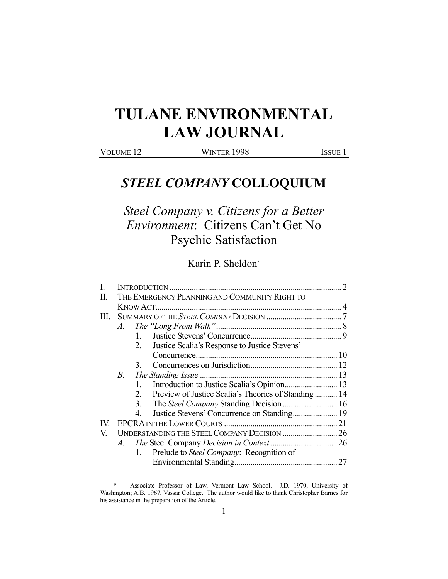# **TULANE ENVIRONMENTAL LAW JOURNAL**

VOLUME 12 WINTER 1998 ISSUE 1

1

# *STEEL COMPANY* **COLLOQUIUM**

*Steel Company v. Citizens for a Better Environment*: Citizens Can't Get No Psychic Satisfaction

Karin P. Sheldon\*

| A.          |                                                           |                                               |
|-------------|-----------------------------------------------------------|-----------------------------------------------|
|             | $1_{\cdots}$                                              |                                               |
|             | Justice Scalia's Response to Justice Stevens'<br>2.       |                                               |
|             |                                                           |                                               |
|             |                                                           |                                               |
| <i>B</i> .  |                                                           |                                               |
|             | 1.                                                        |                                               |
|             | Preview of Justice Scalia's Theories of Standing 14<br>2. |                                               |
|             | 3.                                                        |                                               |
|             |                                                           |                                               |
|             |                                                           |                                               |
|             |                                                           |                                               |
| $A_{\cdot}$ |                                                           |                                               |
|             | Prelude to Steel Company: Recognition of<br>1.            |                                               |
|             |                                                           |                                               |
|             |                                                           | THE EMERGENCY PLANNING AND COMMUNITY RIGHT TO |

 <sup>\*</sup> Associate Professor of Law, Vermont Law School. J.D. 1970, University of Washington; A.B. 1967, Vassar College. The author would like to thank Christopher Barnes for his assistance in the preparation of the Article.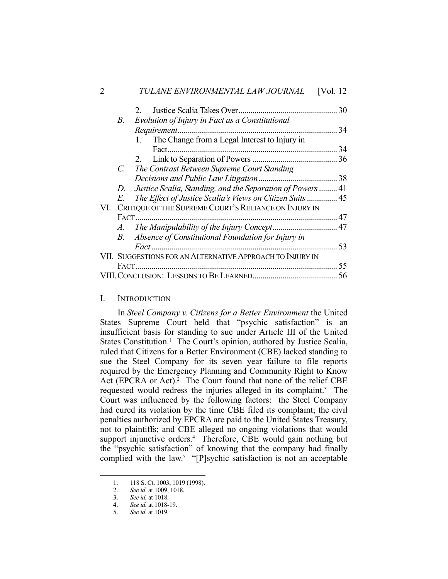|     |       |                                                            | 30   |
|-----|-------|------------------------------------------------------------|------|
|     | В.    | Evolution of Injury in Fact as a Constitutional            |      |
|     |       | Requirement.                                               | . 34 |
|     |       | The Change from a Legal Interest to Injury in<br>1.        |      |
|     |       |                                                            | 34   |
|     |       |                                                            |      |
|     |       | C. The Contrast Between Supreme Court Standing             |      |
|     |       |                                                            |      |
|     | D.    | Justice Scalia, Standing, and the Separation of Powers  41 |      |
|     | E.    | The Effect of Justice Scalia's Views on Citizen Suits  45  |      |
| VI. |       | CRITIQUE OF THE SUPREME COURT'S RELIANCE ON INJURY IN      |      |
|     |       |                                                            |      |
|     |       |                                                            |      |
|     | B.    | Absence of Constitutional Foundation for Injury in         |      |
|     |       |                                                            | 53   |
|     |       | VII. SUGGESTIONS FOR AN ALTERNATIVE APPROACH TO INJURY IN  |      |
|     | FACT. |                                                            | 55   |
|     |       |                                                            |      |
|     |       |                                                            |      |

# I. INTRODUCTION

 In *Steel Company v. Citizens for a Better Environment* the United States Supreme Court held that "psychic satisfaction" is an insufficient basis for standing to sue under Article III of the United States Constitution.<sup>1</sup> The Court's opinion, authored by Justice Scalia, ruled that Citizens for a Better Environment (CBE) lacked standing to sue the Steel Company for its seven year failure to file reports required by the Emergency Planning and Community Right to Know Act (EPCRA or Act).<sup>2</sup> The Court found that none of the relief CBE requested would redress the injuries alleged in its complaint.<sup>3</sup> The Court was influenced by the following factors: the Steel Company had cured its violation by the time CBE filed its complaint; the civil penalties authorized by EPCRA are paid to the United States Treasury, not to plaintiffs; and CBE alleged no ongoing violations that would support injunctive orders.<sup>4</sup> Therefore, CBE would gain nothing but the "psychic satisfaction" of knowing that the company had finally complied with the law.<sup>5</sup> "[P]sychic satisfaction is not an acceptable

<sup>1. 118</sup> S. Ct. 1003, 1019 (1998).<br>2. See id. at 1009, 1018.

 <sup>2.</sup> *See id.* at 1009, 1018.

 <sup>3.</sup> *See id.* at 1018.

 <sup>4.</sup> *See id.* at 1018-19.

 <sup>5.</sup> *See id.* at 1019.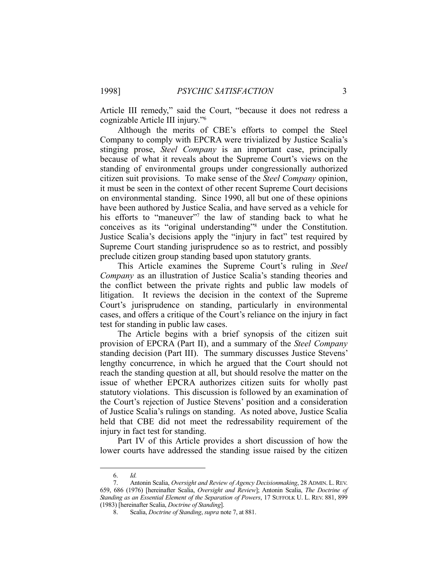Article III remedy," said the Court, "because it does not redress a cognizable Article III injury."6

 Although the merits of CBE's efforts to compel the Steel Company to comply with EPCRA were trivialized by Justice Scalia's stinging prose, *Steel Company* is an important case, principally because of what it reveals about the Supreme Court's views on the standing of environmental groups under congressionally authorized citizen suit provisions. To make sense of the *Steel Company* opinion, it must be seen in the context of other recent Supreme Court decisions on environmental standing. Since 1990, all but one of these opinions have been authored by Justice Scalia, and have served as a vehicle for his efforts to "maneuver"<sup>7</sup> the law of standing back to what he conceives as its "original understanding"8 under the Constitution. Justice Scalia's decisions apply the "injury in fact" test required by Supreme Court standing jurisprudence so as to restrict, and possibly preclude citizen group standing based upon statutory grants.

 This Article examines the Supreme Court's ruling in *Steel Company* as an illustration of Justice Scalia's standing theories and the conflict between the private rights and public law models of litigation. It reviews the decision in the context of the Supreme Court's jurisprudence on standing, particularly in environmental cases, and offers a critique of the Court's reliance on the injury in fact test for standing in public law cases.

 The Article begins with a brief synopsis of the citizen suit provision of EPCRA (Part II), and a summary of the *Steel Company* standing decision (Part III). The summary discusses Justice Stevens' lengthy concurrence, in which he argued that the Court should not reach the standing question at all, but should resolve the matter on the issue of whether EPCRA authorizes citizen suits for wholly past statutory violations. This discussion is followed by an examination of the Court's rejection of Justice Stevens' position and a consideration of Justice Scalia's rulings on standing. As noted above, Justice Scalia held that CBE did not meet the redressability requirement of the injury in fact test for standing.

 Part IV of this Article provides a short discussion of how the lower courts have addressed the standing issue raised by the citizen

 <sup>6.</sup> *Id.*

 <sup>7.</sup> Antonin Scalia, *Oversight and Review of Agency Decisionmaking*, 28 ADMIN. L. REV. 659, 686 (1976) [hereinafter Scalia, *Oversight and Review*]; Antonin Scalia, *The Doctrine of Standing as an Essential Element of the Separation of Powers*, 17 SUFFOLK U. L. REV. 881, 899 (1983) [hereinafter Scalia, *Doctrine of Standing*].

 <sup>8.</sup> Scalia, *Doctrine of Standing*, *supra* note 7, at 881.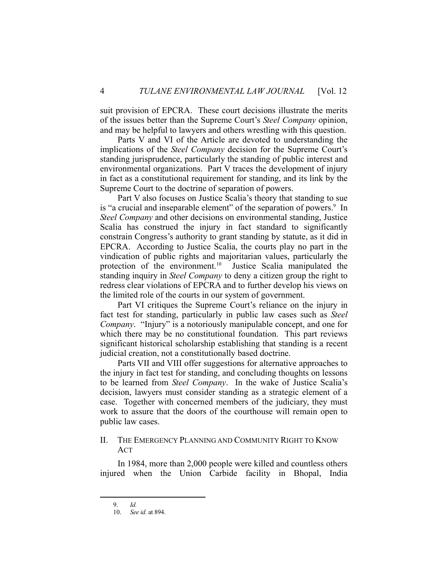suit provision of EPCRA. These court decisions illustrate the merits of the issues better than the Supreme Court's *Steel Company* opinion, and may be helpful to lawyers and others wrestling with this question.

 Parts V and VI of the Article are devoted to understanding the implications of the *Steel Company* decision for the Supreme Court's standing jurisprudence, particularly the standing of public interest and environmental organizations. Part V traces the development of injury in fact as a constitutional requirement for standing, and its link by the Supreme Court to the doctrine of separation of powers.

 Part V also focuses on Justice Scalia's theory that standing to sue is "a crucial and inseparable element" of the separation of powers.<sup>9</sup> In *Steel Company* and other decisions on environmental standing, Justice Scalia has construed the injury in fact standard to significantly constrain Congress's authority to grant standing by statute, as it did in EPCRA. According to Justice Scalia, the courts play no part in the vindication of public rights and majoritarian values, particularly the protection of the environment.<sup>10</sup> Justice Scalia manipulated the standing inquiry in *Steel Company* to deny a citizen group the right to redress clear violations of EPCRA and to further develop his views on the limited role of the courts in our system of government.

 Part VI critiques the Supreme Court's reliance on the injury in fact test for standing, particularly in public law cases such as *Steel Company*. "Injury" is a notoriously manipulable concept, and one for which there may be no constitutional foundation. This part reviews significant historical scholarship establishing that standing is a recent judicial creation, not a constitutionally based doctrine.

 Parts VII and VIII offer suggestions for alternative approaches to the injury in fact test for standing, and concluding thoughts on lessons to be learned from *Steel Company*. In the wake of Justice Scalia's decision, lawyers must consider standing as a strategic element of a case. Together with concerned members of the judiciary, they must work to assure that the doors of the courthouse will remain open to public law cases.

#### II. THE EMERGENCY PLANNING AND COMMUNITY RIGHT TO KNOW ACT

 In 1984, more than 2,000 people were killed and countless others injured when the Union Carbide facility in Bhopal, India

 <sup>9.</sup> *Id.*

 <sup>10.</sup> *See id.* at 894.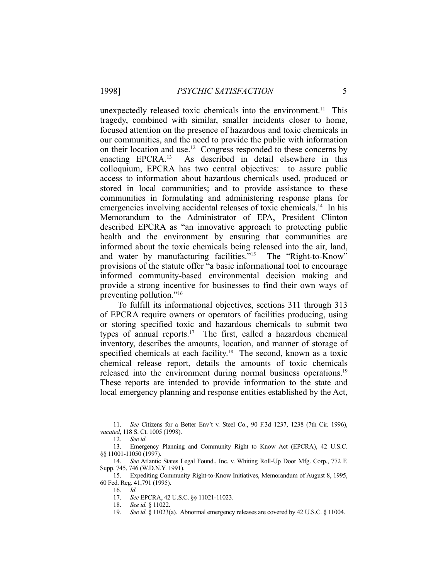unexpectedly released toxic chemicals into the environment.<sup>11</sup> This tragedy, combined with similar, smaller incidents closer to home, focused attention on the presence of hazardous and toxic chemicals in our communities, and the need to provide the public with information on their location and use.12 Congress responded to these concerns by enacting EPCRA.13 As described in detail elsewhere in this colloquium, EPCRA has two central objectives: to assure public access to information about hazardous chemicals used, produced or stored in local communities; and to provide assistance to these communities in formulating and administering response plans for emergencies involving accidental releases of toxic chemicals.<sup>14</sup> In his Memorandum to the Administrator of EPA, President Clinton described EPCRA as "an innovative approach to protecting public health and the environment by ensuring that communities are informed about the toxic chemicals being released into the air, land, and water by manufacturing facilities."15 The "Right-to-Know" provisions of the statute offer "a basic informational tool to encourage informed community-based environmental decision making and provide a strong incentive for businesses to find their own ways of preventing pollution."16

 To fulfill its informational objectives, sections 311 through 313 of EPCRA require owners or operators of facilities producing, using or storing specified toxic and hazardous chemicals to submit two types of annual reports.<sup>17</sup> The first, called a hazardous chemical inventory, describes the amounts, location, and manner of storage of specified chemicals at each facility.<sup>18</sup> The second, known as a toxic chemical release report, details the amounts of toxic chemicals released into the environment during normal business operations.<sup>19</sup> These reports are intended to provide information to the state and local emergency planning and response entities established by the Act,

 <sup>11.</sup> *See* Citizens for a Better Env't v. Steel Co., 90 F.3d 1237, 1238 (7th Cir. 1996), *vacated*, 118 S. Ct. 1005 (1998).

 <sup>12.</sup> *See id.*

 <sup>13.</sup> Emergency Planning and Community Right to Know Act (EPCRA), 42 U.S.C. §§ 11001-11050 (1997).

 <sup>14.</sup> *See* Atlantic States Legal Found., Inc. v. Whiting Roll-Up Door Mfg. Corp., 772 F. Supp. 745, 746 (W.D.N.Y. 1991).

 <sup>15.</sup> Expediting Community Right-to-Know Initiatives, Memorandum of August 8, 1995, 60 Fed. Reg. 41,791 (1995).

 <sup>16.</sup> *Id.*

 <sup>17.</sup> *See* EPCRA, 42 U.S.C. §§ 11021-11023.

 <sup>18.</sup> *See id.* § 11022.

 <sup>19.</sup> *See id.* § 11023(a). Abnormal emergency releases are covered by 42 U.S.C. § 11004.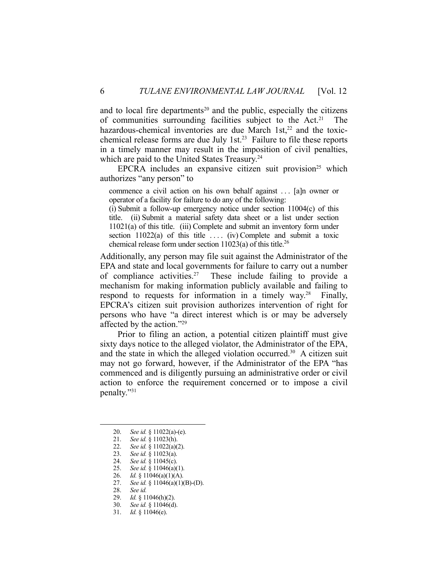and to local fire departments<sup>20</sup> and the public, especially the citizens of communities surrounding facilities subject to the Act.21 The hazardous-chemical inventories are due March  $1st<sub>1</sub><sup>22</sup>$  and the toxicchemical release forms are due July 1st.<sup>23</sup> Failure to file these reports in a timely manner may result in the imposition of civil penalties, which are paid to the United States Treasury.<sup>24</sup>

EPCRA includes an expansive citizen suit provision<sup>25</sup> which authorizes "any person" to

commence a civil action on his own behalf against . . . [a]n owner or operator of a facility for failure to do any of the following:

(i) Submit a follow-up emergency notice under section 11004(c) of this title. (ii) Submit a material safety data sheet or a list under section 11021(a) of this title. (iii) Complete and submit an inventory form under section  $11022(a)$  of this title .... (iv) Complete and submit a toxic chemical release form under section  $11023(a)$  of this title.<sup>26</sup>

Additionally, any person may file suit against the Administrator of the EPA and state and local governments for failure to carry out a number of compliance activities.<sup>27</sup> These include failing to provide a mechanism for making information publicly available and failing to respond to requests for information in a timely way.<sup>28</sup> Finally, EPCRA's citizen suit provision authorizes intervention of right for persons who have "a direct interest which is or may be adversely affected by the action."29

 Prior to filing an action, a potential citizen plaintiff must give sixty days notice to the alleged violator, the Administrator of the EPA, and the state in which the alleged violation occurred.<sup>30</sup> A citizen suit may not go forward, however, if the Administrator of the EPA "has commenced and is diligently pursuing an administrative order or civil action to enforce the requirement concerned or to impose a civil penalty."31

 <sup>20.</sup> *See id.* § 11022(a)-(e).

 <sup>21.</sup> *See id.* § 11023(h).

 <sup>22.</sup> *See id.* § 11022(a)(2).

 <sup>23.</sup> *See id.* § 11023(a).

 <sup>24.</sup> *See id.* § 11045(c).

 <sup>25.</sup> *See id.* § 11046(a)(1).

 <sup>26.</sup> *Id.* § 11046(a)(1)(A).

 <sup>27.</sup> *See id.* § 11046(a)(1)(B)-(D).

 <sup>28.</sup> *See id.*

 <sup>29.</sup> *Id.* § 11046(h)(2).

 <sup>30.</sup> *See id.* § 11046(d).

 <sup>31.</sup> *Id.* § 11046(e).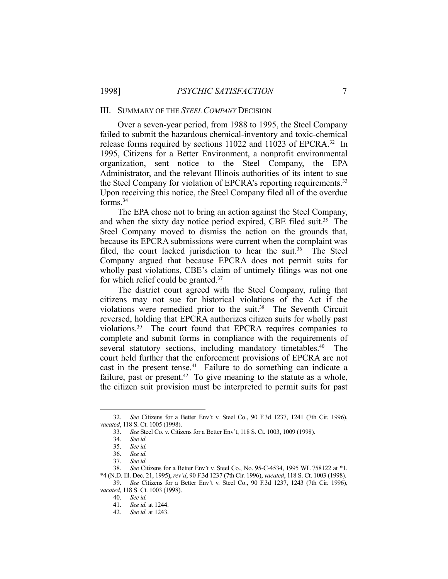#### III. SUMMARY OF THE *STEEL COMPANY* DECISION

 Over a seven-year period, from 1988 to 1995, the Steel Company failed to submit the hazardous chemical-inventory and toxic-chemical release forms required by sections 11022 and 11023 of EPCRA.<sup>32</sup> In 1995, Citizens for a Better Environment, a nonprofit environmental organization, sent notice to the Steel Company, the EPA Administrator, and the relevant Illinois authorities of its intent to sue the Steel Company for violation of EPCRA's reporting requirements.<sup>33</sup> Upon receiving this notice, the Steel Company filed all of the overdue forms.34

 The EPA chose not to bring an action against the Steel Company, and when the sixty day notice period expired, CBE filed suit.<sup>35</sup> The Steel Company moved to dismiss the action on the grounds that, because its EPCRA submissions were current when the complaint was filed, the court lacked jurisdiction to hear the suit.<sup>36</sup> The Steel Company argued that because EPCRA does not permit suits for wholly past violations, CBE's claim of untimely filings was not one for which relief could be granted.37

 The district court agreed with the Steel Company, ruling that citizens may not sue for historical violations of the Act if the violations were remedied prior to the suit.38 The Seventh Circuit reversed, holding that EPCRA authorizes citizen suits for wholly past violations.39 The court found that EPCRA requires companies to complete and submit forms in compliance with the requirements of several statutory sections, including mandatory timetables.<sup>40</sup> The court held further that the enforcement provisions of EPCRA are not cast in the present tense.<sup>41</sup> Failure to do something can indicate a failure, past or present.<sup>42</sup> To give meaning to the statute as a whole, the citizen suit provision must be interpreted to permit suits for past

 <sup>32.</sup> *See* Citizens for a Better Env't v. Steel Co., 90 F.3d 1237, 1241 (7th Cir. 1996), *vacated*, 118 S. Ct. 1005 (1998).

 <sup>33.</sup> *See* Steel Co. v. Citizens for a Better Env't, 118 S. Ct. 1003, 1009 (1998).

 <sup>34.</sup> *See id.*

 <sup>35.</sup> *See id.*

 <sup>36.</sup> *See id.*

 <sup>37.</sup> *See id.*

 <sup>38.</sup> *See* Citizens for a Better Env't v. Steel Co., No. 95-C-4534, 1995 WL 758122 at \*1, \*4 (N.D. Ill. Dec. 21, 1995), *rev'd*, 90 F.3d 1237 (7th Cir. 1996), *vacated*, 118 S. Ct. 1003 (1998).

 <sup>39.</sup> *See* Citizens for a Better Env't v. Steel Co., 90 F.3d 1237, 1243 (7th Cir. 1996), *vacated*, 118 S. Ct. 1003 (1998).

 <sup>40.</sup> *See id.*

 <sup>41.</sup> *See id.* at 1244.

 <sup>42.</sup> *See id.* at 1243.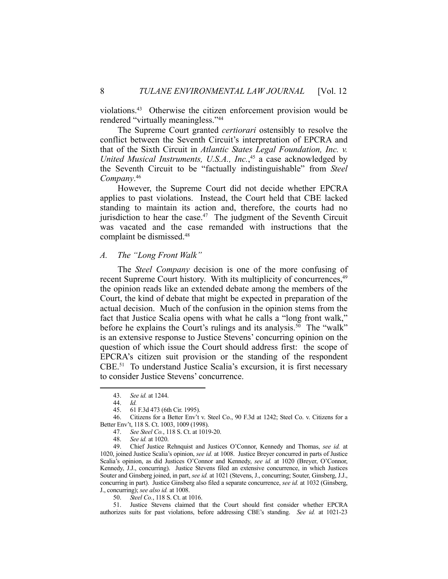violations.43 Otherwise the citizen enforcement provision would be rendered "virtually meaningless."44

 The Supreme Court granted *certiorari* ostensibly to resolve the conflict between the Seventh Circuit's interpretation of EPCRA and that of the Sixth Circuit in *Atlantic States Legal Foundation, Inc. v. United Musical Instruments, U.S.A., Inc.*, 45 a case acknowledged by the Seventh Circuit to be "factually indistinguishable" from *Steel Company*. 46

 However, the Supreme Court did not decide whether EPCRA applies to past violations. Instead, the Court held that CBE lacked standing to maintain its action and, therefore, the courts had no jurisdiction to hear the case. $47$  The judgment of the Seventh Circuit was vacated and the case remanded with instructions that the complaint be dismissed.48

#### *A. The "Long Front Walk"*

 The *Steel Company* decision is one of the more confusing of recent Supreme Court history. With its multiplicity of concurrences,<sup>49</sup> the opinion reads like an extended debate among the members of the Court, the kind of debate that might be expected in preparation of the actual decision. Much of the confusion in the opinion stems from the fact that Justice Scalia opens with what he calls a "long front walk," before he explains the Court's rulings and its analysis.<sup>50</sup> The "walk" is an extensive response to Justice Stevens' concurring opinion on the question of which issue the Court should address first: the scope of EPCRA's citizen suit provision or the standing of the respondent CBE.51 To understand Justice Scalia's excursion, it is first necessary to consider Justice Stevens' concurrence.

 <sup>43.</sup> *See id.* at 1244.

 <sup>44.</sup> *Id.*

 <sup>45. 61</sup> F.3d 473 (6th Cir. 1995).

 <sup>46.</sup> Citizens for a Better Env't v. Steel Co., 90 F.3d at 1242; Steel Co. v. Citizens for a Better Env't, 118 S. Ct. 1003, 1009 (1998).

 <sup>47.</sup> *See Steel Co.*, 118 S. Ct. at 1019-20.

 <sup>48.</sup> *See id.* at 1020.

 <sup>49.</sup> Chief Justice Rehnquist and Justices O'Connor, Kennedy and Thomas, *see id.* at 1020, joined Justice Scalia's opinion, *see id.* at 1008. Justice Breyer concurred in parts of Justice Scalia's opinion, as did Justices O'Connor and Kennedy, *see id.* at 1020 (Breyer, O'Connor, Kennedy, J.J., concurring). Justice Stevens filed an extensive concurrence, in which Justices Souter and Ginsberg joined, in part, *see id.* at 1021 (Stevens, J., concurring; Souter, Ginsberg, J.J., concurring in part). Justice Ginsberg also filed a separate concurrence, *see id.* at 1032 (Ginsberg, J., concurring); *see also id.* at 1008.

 <sup>50.</sup> *Steel Co.*, 118 S. Ct. at 1016.

 <sup>51.</sup> Justice Stevens claimed that the Court should first consider whether EPCRA authorizes suits for past violations, before addressing CBE's standing. *See id.* at 1021-23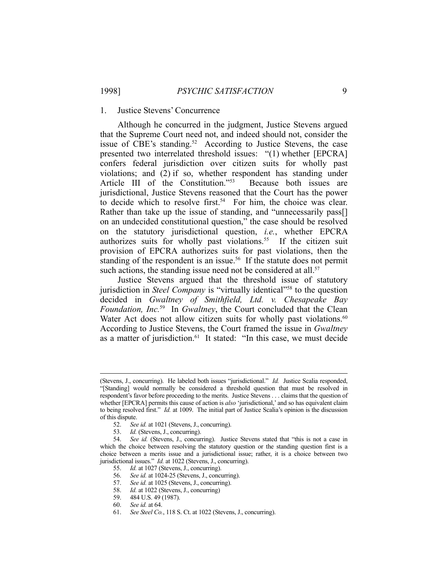#### 1. Justice Stevens' Concurrence

 Although he concurred in the judgment, Justice Stevens argued that the Supreme Court need not, and indeed should not, consider the issue of CBE's standing.<sup>52</sup> According to Justice Stevens, the case presented two interrelated threshold issues: "(1) whether [EPCRA] confers federal jurisdiction over citizen suits for wholly past violations; and (2) if so, whether respondent has standing under Article III of the Constitution."53 Because both issues are jurisdictional, Justice Stevens reasoned that the Court has the power to decide which to resolve first.<sup>54</sup> For him, the choice was clear. Rather than take up the issue of standing, and "unnecessarily pass[] on an undecided constitutional question," the case should be resolved on the statutory jurisdictional question, *i.e.*, whether EPCRA authorizes suits for wholly past violations.<sup>55</sup> If the citizen suit provision of EPCRA authorizes suits for past violations, then the standing of the respondent is an issue.<sup>56</sup> If the statute does not permit such actions, the standing issue need not be considered at all.<sup>57</sup>

 Justice Stevens argued that the threshold issue of statutory jurisdiction in *Steel Company* is "virtually identical"<sup>58</sup> to the question decided in *Gwaltney of Smithfield, Ltd. v. Chesapeake Bay Foundation, Inc.*59 In *Gwaltney*, the Court concluded that the Clean Water Act does not allow citizen suits for wholly past violations.<sup>60</sup> According to Justice Stevens, the Court framed the issue in *Gwaltney* as a matter of jurisdiction.<sup>61</sup> It stated: "In this case, we must decide

 <sup>(</sup>Stevens, J., concurring). He labeled both issues "jurisdictional." *Id.* Justice Scalia responded, "[Standing] would normally be considered a threshold question that must be resolved in respondent's favor before proceeding to the merits. Justice Stevens . . . claims that the question of whether [EPCRA] permits this cause of action is *also* 'jurisdictional,' and so has equivalent claim to being resolved first." *Id.* at 1009. The initial part of Justice Scalia's opinion is the discussion of this dispute.

 <sup>52.</sup> *See id.* at 1021 (Stevens, J., concurring).

 <sup>53.</sup> *Id.* (Stevens, J., concurring).

 <sup>54.</sup> *See id.* (Stevens, J., concurring). Justice Stevens stated that "this is not a case in which the choice between resolving the statutory question or the standing question first is a choice between a merits issue and a jurisdictional issue; rather, it is a choice between two jurisdictional issues." *Id.* at 1022 (Stevens, J., concurring).

 <sup>55.</sup> *Id.* at 1027 (Stevens, J., concurring).

 <sup>56.</sup> *See id.* at 1024-25 (Stevens, J., concurring).

 <sup>57.</sup> *See id.* at 1025 (Stevens, J., concurring).

 <sup>58.</sup> *Id.* at 1022 (Stevens, J., concurring)

 <sup>59. 484</sup> U.S. 49 (1987).

 <sup>60.</sup> *See id.* at 64.

 <sup>61.</sup> *See Steel Co.*, 118 S. Ct. at 1022 (Stevens, J., concurring).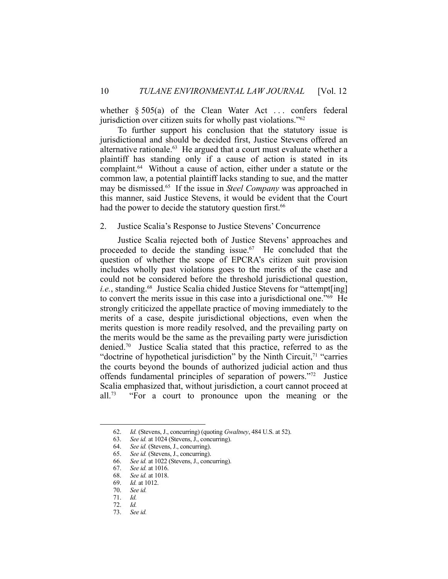whether  $\S 505(a)$  of the Clean Water Act ... confers federal jurisdiction over citizen suits for wholly past violations."<sup>62</sup>

 To further support his conclusion that the statutory issue is jurisdictional and should be decided first, Justice Stevens offered an alternative rationale.<sup>63</sup> He argued that a court must evaluate whether a plaintiff has standing only if a cause of action is stated in its complaint.<sup>64</sup> Without a cause of action, either under a statute or the common law, a potential plaintiff lacks standing to sue, and the matter may be dismissed.65 If the issue in *Steel Company* was approached in this manner, said Justice Stevens, it would be evident that the Court had the power to decide the statutory question first.<sup>66</sup>

#### 2. Justice Scalia's Response to Justice Stevens' Concurrence

 Justice Scalia rejected both of Justice Stevens' approaches and proceeded to decide the standing issue.67 He concluded that the question of whether the scope of EPCRA's citizen suit provision includes wholly past violations goes to the merits of the case and could not be considered before the threshold jurisdictional question, *i.e.*, standing.<sup>68</sup> Justice Scalia chided Justice Stevens for "attempt[ing] to convert the merits issue in this case into a jurisdictional one."69 He strongly criticized the appellate practice of moving immediately to the merits of a case, despite jurisdictional objections, even when the merits question is more readily resolved, and the prevailing party on the merits would be the same as the prevailing party were jurisdiction denied.70 Justice Scalia stated that this practice, referred to as the "doctrine of hypothetical jurisdiction" by the Ninth Circuit, $71$  "carries" the courts beyond the bounds of authorized judicial action and thus offends fundamental principles of separation of powers."72 Justice Scalia emphasized that, without jurisdiction, a court cannot proceed at all.<sup>73</sup> "For a court to pronounce upon the meaning or the

 <sup>62.</sup> *Id.* (Stevens, J., concurring) (quoting *Gwaltney*, 484 U.S. at 52).

 <sup>63.</sup> *See id.* at 1024 (Stevens, J., concurring).

 <sup>64.</sup> *See id.* (Stevens, J., concurring).

 <sup>65.</sup> *See id.* (Stevens, J., concurring).

 <sup>66.</sup> *See id.* at 1022 (Stevens, J., concurring).

 <sup>67.</sup> *See id.* at 1016.

 <sup>68.</sup> *See id.* at 1018. *Id.* at 1012.

 <sup>70.</sup> *See id.*

 <sup>71.</sup> *Id.*

 <sup>72.</sup> *Id.*

 <sup>73.</sup> *See id.*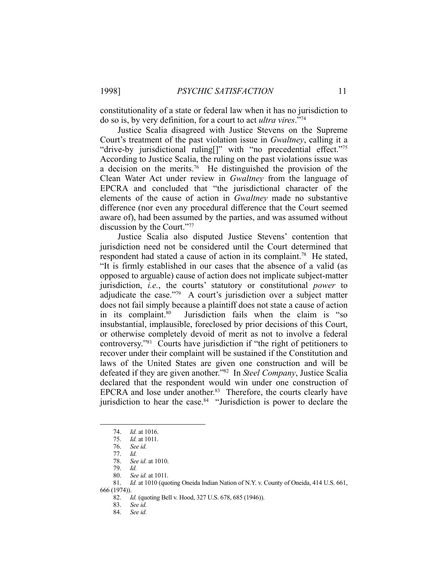constitutionality of a state or federal law when it has no jurisdiction to do so is, by very definition, for a court to act *ultra vires*."74

 Justice Scalia disagreed with Justice Stevens on the Supreme Court's treatment of the past violation issue in *Gwaltney*, calling it a "drive-by jurisdictional ruling[]" with "no precedential effect."75 According to Justice Scalia, the ruling on the past violations issue was a decision on the merits.76 He distinguished the provision of the Clean Water Act under review in *Gwaltney* from the language of EPCRA and concluded that "the jurisdictional character of the elements of the cause of action in *Gwaltney* made no substantive difference (nor even any procedural difference that the Court seemed aware of), had been assumed by the parties, and was assumed without discussion by the Court."77

 Justice Scalia also disputed Justice Stevens' contention that jurisdiction need not be considered until the Court determined that respondent had stated a cause of action in its complaint.<sup>78</sup> He stated, "It is firmly established in our cases that the absence of a valid (as opposed to arguable) cause of action does not implicate subject-matter jurisdiction, *i.e.*, the courts' statutory or constitutional *power* to adjudicate the case."79 A court's jurisdiction over a subject matter does not fail simply because a plaintiff does not state a cause of action in its complaint.80 Jurisdiction fails when the claim is "so insubstantial, implausible, foreclosed by prior decisions of this Court, or otherwise completely devoid of merit as not to involve a federal controversy."81 Courts have jurisdiction if "the right of petitioners to recover under their complaint will be sustained if the Constitution and laws of the United States are given one construction and will be defeated if they are given another."82 In *Steel Company*, Justice Scalia declared that the respondent would win under one construction of EPCRA and lose under another.<sup>83</sup> Therefore, the courts clearly have jurisdiction to hear the case. $84$  "Jurisdiction is power to declare the

 <sup>74.</sup> *Id.* at 1016. 75. *Id.* at 1011.

 <sup>76.</sup> *See id.*

 <sup>77.</sup> *Id.*

 <sup>78.</sup> *See id.* at 1010.

 <sup>79.</sup> *Id.*

 <sup>80.</sup> *See id.* at 1011.

 <sup>81.</sup> *Id.* at 1010 (quoting Oneida Indian Nation of N.Y. v. County of Oneida, 414 U.S. 661, 666 (1974)).

 <sup>82.</sup> *Id.* (quoting Bell v. Hood, 327 U.S. 678, 685 (1946)).

 <sup>83.</sup> *See id.*

 <sup>84.</sup> *See id.*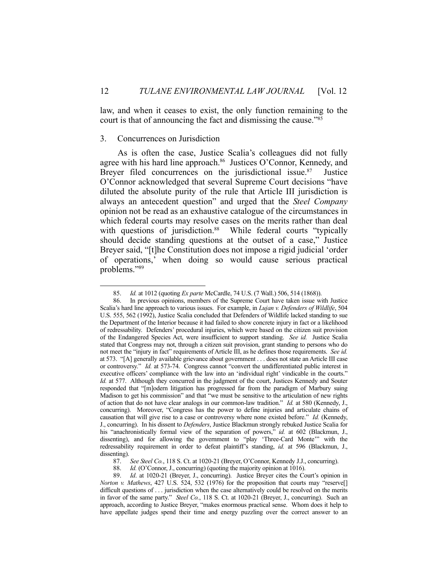law, and when it ceases to exist, the only function remaining to the court is that of announcing the fact and dismissing the cause."85

# 3. Concurrences on Jurisdiction

1

 As is often the case, Justice Scalia's colleagues did not fully agree with his hard line approach.<sup>86</sup> Justices O'Connor, Kennedy, and Breyer filed concurrences on the jurisdictional issue.<sup>87</sup> Justice O'Connor acknowledged that several Supreme Court decisions "have diluted the absolute purity of the rule that Article III jurisdiction is always an antecedent question" and urged that the *Steel Company* opinion not be read as an exhaustive catalogue of the circumstances in which federal courts may resolve cases on the merits rather than deal with questions of jurisdiction.<sup>88</sup> While federal courts "typically should decide standing questions at the outset of a case," Justice Breyer said, "[t]he Constitution does not impose a rigid judicial 'order of operations,' when doing so would cause serious practical problems."89

 <sup>85.</sup> *Id.* at 1012 (quoting *Ex parte* McCardle, 74 U.S. (7 Wall.) 506, 514 (1868)).

 <sup>86.</sup> In previous opinions, members of the Supreme Court have taken issue with Justice Scalia's hard line approach to various issues. For example, in *Lujan v. Defenders of Wildlife*, 504 U.S. 555, 562 (1992), Justice Scalia concluded that Defenders of Wildlife lacked standing to sue the Department of the Interior because it had failed to show concrete injury in fact or a likelihood of redressability. Defenders' procedural injuries, which were based on the citizen suit provision of the Endangered Species Act, were insufficient to support standing. *See id.* Justice Scalia stated that Congress may not, through a citizen suit provision, grant standing to persons who do not meet the "injury in fact" requirements of Article III, as he defines those requirements. *See id.* at 573. "[A] generally available grievance about government . . . does not state an Article III case or controversy." *Id.* at 573-74. Congress cannot "convert the undifferentiated public interest in executive officers' compliance with the law into an 'individual right' vindicable in the courts." *Id.* at 577. Although they concurred in the judgment of the court, Justices Kennedy and Souter responded that "[m]odern litigation has progressed far from the paradigm of Marbury suing Madison to get his commission" and that "we must be sensitive to the articulation of new rights of action that do not have clear analogs in our common-law tradition." *Id.* at 580 (Kennedy, J., concurring). Moreover, "Congress has the power to define injuries and articulate chains of causation that will give rise to a case or controversy where none existed before." *Id.* (Kennedy, J., concurring). In his dissent to *Defenders*, Justice Blackmun strongly rebuked Justice Scalia for his "anachronistically formal view of the separation of powers," *id.* at 602 (Blackmun, J., dissenting), and for allowing the government to "play 'Three-Card Monte'" with the redressability requirement in order to defeat plaintiff's standing, *id.* at 596 (Blackmun, J., dissenting).

 <sup>87.</sup> *See Steel Co.*, 118 S. Ct. at 1020-21 (Breyer, O'Connor, Kennedy J.J., concurring).

<sup>88.</sup> *Id.* (O'Connor, J., concurring) (quoting the majority opinion at 1016).<br>89. *Id.* at 1020-21 (Brever, J., concurring). Justice Breyer cites the Co

*Id.* at 1020-21 (Breyer, J., concurring). Justice Breyer cites the Court's opinion in *Norton v. Mathews*, 427 U.S. 524, 532 (1976) for the proposition that courts may "reserve[] difficult questions of . . . jurisdiction when the case alternatively could be resolved on the merits in favor of the same party." *Steel Co.*, 118 S. Ct. at 1020-21 (Breyer, J., concurring). Such an approach, according to Justice Breyer, "makes enormous practical sense. Whom does it help to have appellate judges spend their time and energy puzzling over the correct answer to an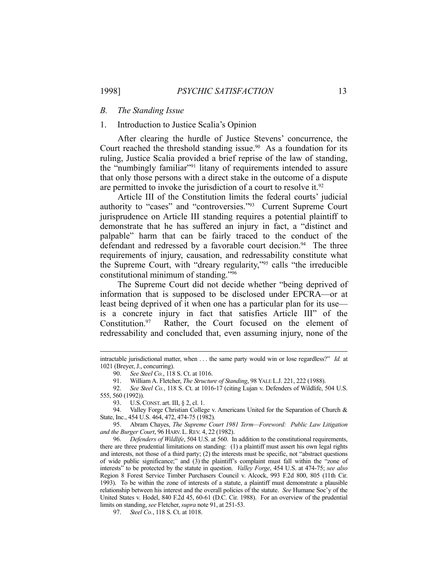#### *B. The Standing Issue*

# 1. Introduction to Justice Scalia's Opinion

 After clearing the hurdle of Justice Stevens' concurrence, the Court reached the threshold standing issue.<sup>90</sup> As a foundation for its ruling, Justice Scalia provided a brief reprise of the law of standing, the "numbingly familiar"<sup>91</sup> litany of requirements intended to assure that only those persons with a direct stake in the outcome of a dispute are permitted to invoke the jurisdiction of a court to resolve it.<sup>92</sup>

 Article III of the Constitution limits the federal courts' judicial authority to "cases" and "controversies."93 Current Supreme Court jurisprudence on Article III standing requires a potential plaintiff to demonstrate that he has suffered an injury in fact, a "distinct and palpable" harm that can be fairly traced to the conduct of the defendant and redressed by a favorable court decision.<sup>94</sup> The three requirements of injury, causation, and redressability constitute what the Supreme Court, with "dreary regularity,"95 calls "the irreducible constitutional minimum of standing."96

 The Supreme Court did not decide whether "being deprived of information that is supposed to be disclosed under EPCRA—or at least being deprived of it when one has a particular plan for its use is a concrete injury in fact that satisfies Article III" of the Constitution.97 Rather, the Court focused on the element of redressability and concluded that, even assuming injury, none of the

intractable jurisdictional matter, when . . . the same party would win or lose regardless?" *Id.* at 1021 (Breyer, J., concurring).

 <sup>90.</sup> *See Steel Co.*, 118 S. Ct. at 1016.

 <sup>91.</sup> William A. Fletcher, *The Structure of Standing*, 98 YALE L.J. 221, 222 (1988).

 <sup>92.</sup> *See Steel Co.*, 118 S. Ct. at 1016-17 (citing Lujan v. Defenders of Wildlife, 504 U.S. 555, 560 (1992)).

 <sup>93.</sup> U.S.CONST. art. III, § 2, cl. 1.

<sup>94.</sup> Valley Forge Christian College v. Americans United for the Separation of Church & State, Inc., 454 U.S. 464, 472, 474-75 (1982).

 <sup>95.</sup> Abram Chayes, *The Supreme Court 1981 Term—Foreword: Public Law Litigation and the Burger Court*, 96 HARV. L. REV. 4, 22 (1982).

 <sup>96.</sup> *Defenders of Wildlife*, 504 U.S. at 560. In addition to the constitutional requirements, there are three prudential limitations on standing: (1) a plaintiff must assert his own legal rights and interests, not those of a third party; (2) the interests must be specific, not "abstract questions of wide public significance;" and (3) the plaintiff's complaint must fall within the "zone of interests" to be protected by the statute in question. *Valley Forge*, 454 U.S. at 474-75; *see also* Region 8 Forest Service Timber Purchasers Council v. Alcock, 993 F.2d 800, 805 (11th Cir. 1993). To be within the zone of interests of a statute, a plaintiff must demonstrate a plausible relationship between his interest and the overall policies of the statute. *See* Humane Soc'y of the United States v. Hodel, 840 F.2d 45, 60-61 (D.C. Cir. 1988). For an overview of the prudential limits on standing, *see* Fletcher, *supra* note 91, at 251-53.

 <sup>97.</sup> *Steel Co.*, 118 S. Ct. at 1018.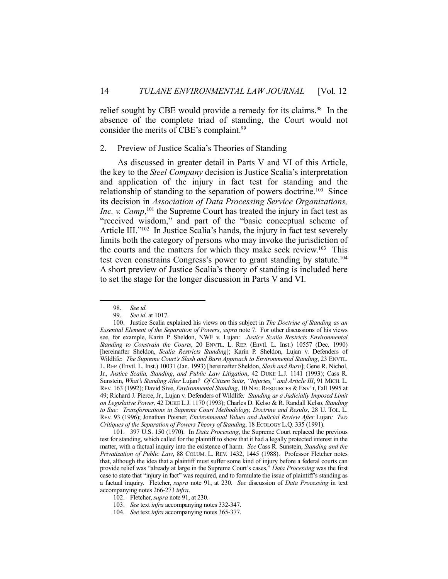relief sought by CBE would provide a remedy for its claims.<sup>98</sup> In the absence of the complete triad of standing, the Court would not consider the merits of CBE's complaint.<sup>99</sup>

#### 2. Preview of Justice Scalia's Theories of Standing

 As discussed in greater detail in Parts V and VI of this Article, the key to the *Steel Company* decision is Justice Scalia's interpretation and application of the injury in fact test for standing and the relationship of standing to the separation of powers doctrine.<sup>100</sup> Since its decision in *Association of Data Processing Service Organizations, Inc.* v. *Camp*,<sup>101</sup>, the Supreme Court has treated the injury in fact test as "received wisdom," and part of the "basic conceptual scheme of Article III."<sup>102</sup> In Justice Scalia's hands, the injury in fact test severely limits both the category of persons who may invoke the jurisdiction of the courts and the matters for which they make seek review.103 This test even constrains Congress's power to grant standing by statute.<sup>104</sup> A short preview of Justice Scalia's theory of standing is included here to set the stage for the longer discussion in Parts V and VI.

1

 101. 397 U.S. 150 (1970). In *Data Processing*, the Supreme Court replaced the previous test for standing, which called for the plaintiff to show that it had a legally protected interest in the matter, with a factual inquiry into the existence of harm. *See* Cass R. Sunstein, *Standing and the Privatization of Public Law*, 88 COLUM. L. REV. 1432, 1445 (1988). Professor Fletcher notes that, although the idea that a plaintiff must suffer some kind of injury before a federal courts can provide relief was "already at large in the Supreme Court's cases," *Data Processing* was the first case to state that "injury in fact" was required, and to formulate the issue of plaintiff's standing as a factual inquiry. Fletcher, *supra* note 91, at 230. *See* discussion of *Data Processing* in text accompanying notes 266-273 *infra*.

 <sup>98.</sup> *See id.*

See id. at 1017.

 <sup>100.</sup> Justice Scalia explained his views on this subject in *The Doctrine of Standing as an Essential Element of the Separation of Powers*, *supra* note 7. For other discussions of his views see, for example, Karin P. Sheldon, NWF v. Lujan: *Justice Scalia Restricts Environmental Standing to Constrain the Courts*, 20 ENVTL. L. REP. (Envtl. L. Inst.) 10557 (Dec. 1990) [hereinafter Sheldon, *Scalia Restricts Standing*]; Karin P. Sheldon, Lujan v. Defenders of Wildlife: *The Supreme Court's Slash and Burn Approach to Environmental Standing*, 23 ENVTL. L.REP. (Envtl. L. Inst.) 10031 (Jan. 1993) [hereinafter Sheldon, *Slash and Burn*]; Gene R. Nichol, Jr., *Justice Scalia, Standing*, *and Public Law Litigation*, 42 DUKE L.J. 1141 (1993); Cass R. Sunstein, *What's Standing After* Lujan*? Of Citizen Suits*, *"Injuries," and Article III*, 91 MICH. L. REV. 163 (1992); David Sive, *Environmental Standing*, 10 NAT. RESOURCES & ENV'T, Fall 1995 at 49; Richard J. Pierce, Jr., Lujan v. Defenders of Wildlife*: Standing as a Judicially Imposed Limit on Legislative Power*, 42 DUKE L.J. 1170 (1993); Charles D. Kelso & R. Randall Kelso, *Standing to Sue: Transformations in Supreme Court Methodology, Doctrine and Results*, 28 U. TOL. L. REV. 93 (1996); Jonathan Poisner, *Environmental Values and Judicial Review After* Lujan*: Two Critiques of the Separation of Powers Theory of Standing*, 18 ECOLOGY L.Q. 335 (1991).

 <sup>102.</sup> Fletcher, *supra* note 91, at 230.

 <sup>103.</sup> *See* text *infra* accompanying notes 332-347.

 <sup>104.</sup> *See* text *infra* accompanying notes 365-377.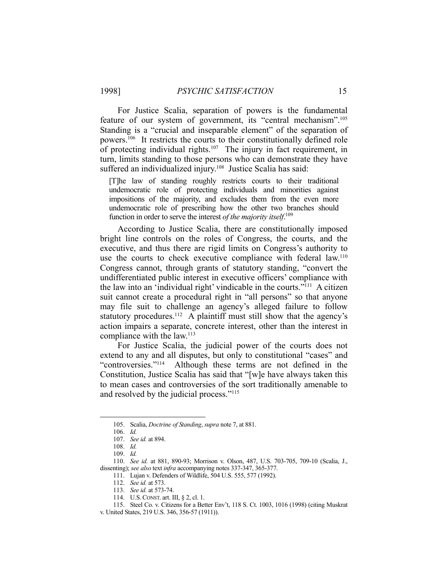For Justice Scalia, separation of powers is the fundamental feature of our system of government, its "central mechanism".105 Standing is a "crucial and inseparable element" of the separation of powers.106 It restricts the courts to their constitutionally defined role of protecting individual rights.<sup>107</sup> The injury in fact requirement, in turn, limits standing to those persons who can demonstrate they have suffered an individualized injury.<sup>108</sup> Justice Scalia has said:

[T]he law of standing roughly restricts courts to their traditional undemocratic role of protecting individuals and minorities against impositions of the majority, and excludes them from the even more undemocratic role of prescribing how the other two branches should function in order to serve the interest *of the majority itself*. 109

 According to Justice Scalia, there are constitutionally imposed bright line controls on the roles of Congress, the courts, and the executive, and thus there are rigid limits on Congress's authority to use the courts to check executive compliance with federal law.<sup>110</sup> Congress cannot, through grants of statutory standing, "convert the undifferentiated public interest in executive officers' compliance with the law into an 'individual right' vindicable in the courts."111 A citizen suit cannot create a procedural right in "all persons" so that anyone may file suit to challenge an agency's alleged failure to follow statutory procedures.<sup>112</sup> A plaintiff must still show that the agency's action impairs a separate, concrete interest, other than the interest in compliance with the law.<sup>113</sup>

 For Justice Scalia, the judicial power of the courts does not extend to any and all disputes, but only to constitutional "cases" and "controversies."114 Although these terms are not defined in the Constitution, Justice Scalia has said that "[w]e have always taken this to mean cases and controversies of the sort traditionally amenable to and resolved by the judicial process."115

 <sup>105.</sup> Scalia, *Doctrine of Standing*, *supra* note 7, at 881.

 <sup>106.</sup> *Id.*

 <sup>107.</sup> *See id.* at 894.

 <sup>108.</sup> *Id.*

 <sup>109.</sup> *Id.*

 <sup>110.</sup> *See id.* at 881, 890-93; Morrison v. Olson, 487, U.S. 703-705, 709-10 (Scalia, J., dissenting); *see also* text *infra* accompanying notes 337-347, 365-377.

 <sup>111.</sup> Lujan v. Defenders of Wildlife, 504 U.S. 555, 577 (1992).

 <sup>112.</sup> *See id.* at 573.

 <sup>113.</sup> *See id.* at 573-74.

 <sup>114.</sup> U.S.CONST. art. III, § 2, cl. 1.

 <sup>115.</sup> Steel Co. v. Citizens for a Better Env't, 118 S. Ct. 1003, 1016 (1998) (citing Muskrat v. United States, 219 U.S. 346, 356-57 (1911)).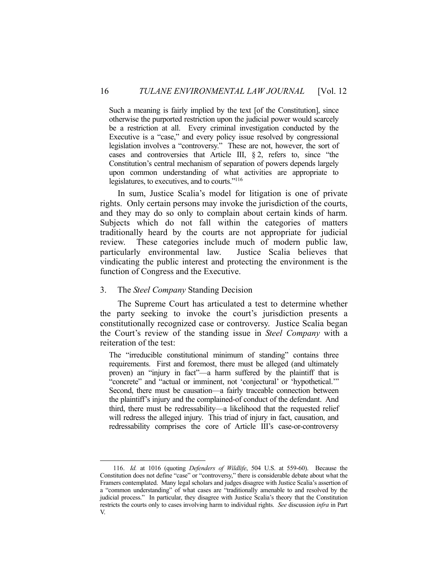Such a meaning is fairly implied by the text [of the Constitution], since otherwise the purported restriction upon the judicial power would scarcely be a restriction at all. Every criminal investigation conducted by the Executive is a "case," and every policy issue resolved by congressional legislation involves a "controversy." These are not, however, the sort of cases and controversies that Article III, § 2, refers to, since "the Constitution's central mechanism of separation of powers depends largely upon common understanding of what activities are appropriate to legislatures, to executives, and to courts."116

 In sum, Justice Scalia's model for litigation is one of private rights. Only certain persons may invoke the jurisdiction of the courts, and they may do so only to complain about certain kinds of harm. Subjects which do not fall within the categories of matters traditionally heard by the courts are not appropriate for judicial review. These categories include much of modern public law, particularly environmental law. Justice Scalia believes that vindicating the public interest and protecting the environment is the function of Congress and the Executive.

#### 3. The *Steel Company* Standing Decision

1

 The Supreme Court has articulated a test to determine whether the party seeking to invoke the court's jurisdiction presents a constitutionally recognized case or controversy. Justice Scalia began the Court's review of the standing issue in *Steel Company* with a reiteration of the test:

The "irreducible constitutional minimum of standing" contains three requirements. First and foremost, there must be alleged (and ultimately proven) an "injury in fact"—a harm suffered by the plaintiff that is "concrete" and "actual or imminent, not 'conjectural' or 'hypothetical.'" Second, there must be causation—a fairly traceable connection between the plaintiff's injury and the complained-of conduct of the defendant. And third, there must be redressability—a likelihood that the requested relief will redress the alleged injury. This triad of injury in fact, causation, and redressability comprises the core of Article III's case-or-controversy

 <sup>116.</sup> *Id.* at 1016 (quoting *Defenders of Wildlife*, 504 U.S. at 559-60). Because the Constitution does not define "case" or "controversy," there is considerable debate about what the Framers contemplated. Many legal scholars and judges disagree with Justice Scalia's assertion of a "common understanding" of what cases are "traditionally amenable to and resolved by the judicial process." In particular, they disagree with Justice Scalia's theory that the Constitution restricts the courts only to cases involving harm to individual rights. *See* discussion *infra* in Part V.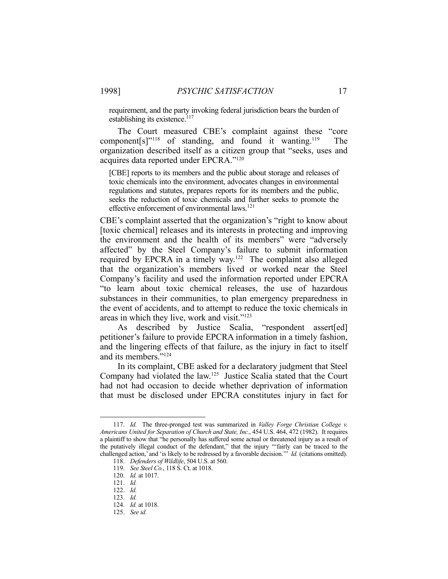requirement, and the party invoking federal jurisdiction bears the burden of establishing its existence.<sup>117</sup>

 The Court measured CBE's complaint against these "core component $[s]$ <sup>"118</sup> of standing, and found it wanting.<sup>119</sup> The organization described itself as a citizen group that "seeks, uses and acquires data reported under EPCRA."120

[CBE] reports to its members and the public about storage and releases of toxic chemicals into the environment, advocates changes in environmental regulations and statutes, prepares reports for its members and the public, seeks the reduction of toxic chemicals and further seeks to promote the effective enforcement of environmental laws.<sup>121</sup>

CBE's complaint asserted that the organization's "right to know about [toxic chemical] releases and its interests in protecting and improving the environment and the health of its members" were "adversely affected" by the Steel Company's failure to submit information required by EPCRA in a timely way.<sup>122</sup> The complaint also alleged that the organization's members lived or worked near the Steel Company's facility and used the information reported under EPCRA "to learn about toxic chemical releases, the use of hazardous substances in their communities, to plan emergency preparedness in the event of accidents, and to attempt to reduce the toxic chemicals in areas in which they live, work and visit."123

As described by Justice Scalia, "respondent assert[ed] petitioner's failure to provide EPCRA information in a timely fashion, and the lingering effects of that failure, as the injury in fact to itself and its members."124

 In its complaint, CBE asked for a declaratory judgment that Steel Company had violated the law.125 Justice Scalia stated that the Court had not had occasion to decide whether deprivation of information that must be disclosed under EPCRA constitutes injury in fact for

 <sup>117.</sup> *Id.* The three-pronged test was summarized in *Valley Forge Christian College v. Americans United for Separation of Church and State, Inc.*, 454 U.S. 464, 472 (1982). It requires a plaintiff to show that "he personally has suffered some actual or threatened injury as a result of the putatively illegal conduct of the defendant," that the injury "'fairly can be traced to the challenged action,' and 'is likely to be redressed by a favorable decision.'" *Id.* (citations omitted).

 <sup>118.</sup> *Defenders of Wildlife*, 504 U.S. at 560.

 <sup>119.</sup> *See Steel Co.*, 118 S. Ct. at 1018.

 <sup>120.</sup> *Id.* at 1017.

 <sup>121.</sup> *Id.*

 <sup>122.</sup> *Id.*

 <sup>123.</sup> *Id.*

 <sup>124.</sup> *Id.* at 1018.

 <sup>125.</sup> *See id.*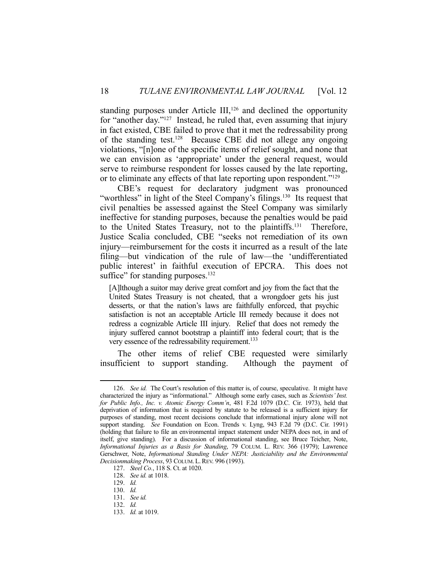standing purposes under Article  $III$ ,<sup>126</sup> and declined the opportunity for "another day."127 Instead, he ruled that, even assuming that injury in fact existed, CBE failed to prove that it met the redressability prong of the standing test.<sup>128</sup> Because CBE did not allege any ongoing violations, "[n]one of the specific items of relief sought, and none that we can envision as 'appropriate' under the general request, would serve to reimburse respondent for losses caused by the late reporting, or to eliminate any effects of that late reporting upon respondent."129

 CBE's request for declaratory judgment was pronounced "worthless" in light of the Steel Company's filings.<sup>130</sup> Its request that civil penalties be assessed against the Steel Company was similarly ineffective for standing purposes, because the penalties would be paid to the United States Treasury, not to the plaintiffs.131 Therefore, Justice Scalia concluded, CBE "seeks not remediation of its own injury—reimbursement for the costs it incurred as a result of the late filing—but vindication of the rule of law—the 'undifferentiated public interest' in faithful execution of EPCRA. This does not suffice" for standing purposes. $132$ 

[A]lthough a suitor may derive great comfort and joy from the fact that the United States Treasury is not cheated, that a wrongdoer gets his just desserts, or that the nation's laws are faithfully enforced, that psychic satisfaction is not an acceptable Article III remedy because it does not redress a cognizable Article III injury. Relief that does not remedy the injury suffered cannot bootstrap a plaintiff into federal court; that is the very essence of the redressability requirement.<sup>133</sup>

 The other items of relief CBE requested were similarly insufficient to support standing. Although the payment of

 <sup>126.</sup> *See id.* The Court's resolution of this matter is, of course, speculative. It might have characterized the injury as "informational." Although some early cases, such as *Scientists' Inst. for Public Info., Inc. v. Atomic Energy Comm'n*, 481 F.2d 1079 (D.C. Cir. 1973), held that deprivation of information that is required by statute to be released is a sufficient injury for purposes of standing, most recent decisions conclude that informational injury alone will not support standing. *See* Foundation on Econ. Trends v. Lyng, 943 F.2d 79 (D.C. Cir. 1991) (holding that failure to file an environmental impact statement under NEPA does not, in and of itself, give standing). For a discussion of informational standing, see Bruce Teicher, Note, *Informational Injuries as a Basis for Standing*, 79 COLUM. L. REV. 366 (1979); Lawrence Gerschwer, Note, *Informational Standing Under NEPA: Justiciability and the Environmental Decisionmaking Process*, 93 COLUM. L.REV. 996 (1993).

 <sup>127.</sup> *Steel Co.*, 118 S. Ct. at 1020.

 <sup>128.</sup> *See id.* at 1018.

 <sup>129.</sup> *Id.*

 <sup>130.</sup> *Id.*

 <sup>131.</sup> *See id.*

 <sup>132.</sup> *Id.*

 <sup>133.</sup> *Id.* at 1019.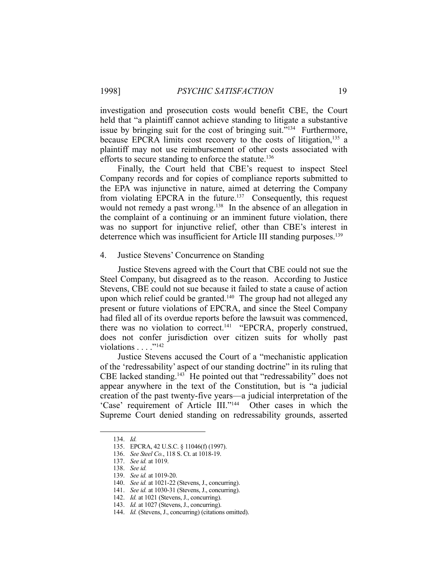investigation and prosecution costs would benefit CBE, the Court held that "a plaintiff cannot achieve standing to litigate a substantive issue by bringing suit for the cost of bringing suit."134 Furthermore, because EPCRA limits cost recovery to the costs of litigation,<sup>135</sup> a plaintiff may not use reimbursement of other costs associated with efforts to secure standing to enforce the statute.<sup>136</sup>

 Finally, the Court held that CBE's request to inspect Steel Company records and for copies of compliance reports submitted to the EPA was injunctive in nature, aimed at deterring the Company from violating EPCRA in the future.<sup>137</sup> Consequently, this request would not remedy a past wrong.<sup>138</sup> In the absence of an allegation in the complaint of a continuing or an imminent future violation, there was no support for injunctive relief, other than CBE's interest in deterrence which was insufficient for Article III standing purposes.<sup>139</sup>

#### 4. Justice Stevens' Concurrence on Standing

 Justice Stevens agreed with the Court that CBE could not sue the Steel Company, but disagreed as to the reason. According to Justice Stevens, CBE could not sue because it failed to state a cause of action upon which relief could be granted.<sup>140</sup> The group had not alleged any present or future violations of EPCRA, and since the Steel Company had filed all of its overdue reports before the lawsuit was commenced, there was no violation to correct.<sup>141</sup> "EPCRA, properly construed, does not confer jurisdiction over citizen suits for wholly past violations  $\ldots$  ."<sup>142</sup>

 Justice Stevens accused the Court of a "mechanistic application of the 'redressability' aspect of our standing doctrine" in its ruling that CBE lacked standing.143 He pointed out that "redressability" does not appear anywhere in the text of the Constitution, but is "a judicial creation of the past twenty-five years—a judicial interpretation of the 'Case' requirement of Article III."<sup>144</sup> Other cases in which the Supreme Court denied standing on redressability grounds, asserted

 <sup>134.</sup> *Id.*

 <sup>135.</sup> EPCRA, 42 U.S.C. § 11046(f) (1997).

 <sup>136.</sup> *See Steel Co.*, 118 S. Ct. at 1018-19.

 <sup>137.</sup> *See id.* at 1019.

 <sup>138.</sup> *See id.*

 <sup>139.</sup> *See id.* at 1019-20.

 <sup>140.</sup> *See id.* at 1021-22 (Stevens, J., concurring).

 <sup>141.</sup> *See id.* at 1030-31 (Stevens, J., concurring).

 <sup>142.</sup> *Id.* at 1021 (Stevens, J., concurring).

 <sup>143.</sup> *Id.* at 1027 (Stevens, J., concurring).

 <sup>144.</sup> *Id.* (Stevens, J., concurring) (citations omitted).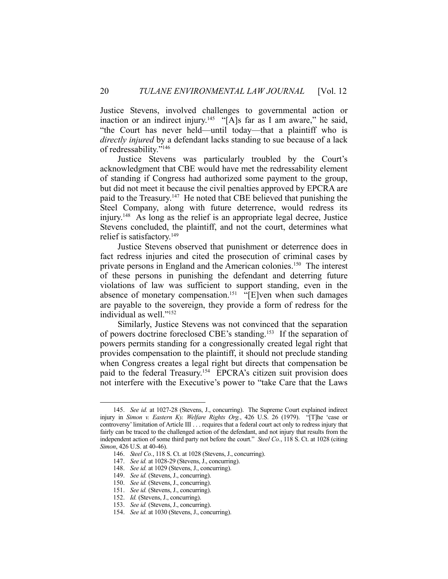Justice Stevens, involved challenges to governmental action or inaction or an indirect injury.<sup>145</sup> "[A]s far as I am aware," he said, "the Court has never held—until today—that a plaintiff who is *directly injured* by a defendant lacks standing to sue because of a lack of redressability."146

 Justice Stevens was particularly troubled by the Court's acknowledgment that CBE would have met the redressability element of standing if Congress had authorized some payment to the group, but did not meet it because the civil penalties approved by EPCRA are paid to the Treasury.147 He noted that CBE believed that punishing the Steel Company, along with future deterrence, would redress its injury.148 As long as the relief is an appropriate legal decree, Justice Stevens concluded, the plaintiff, and not the court, determines what relief is satisfactory.149

 Justice Stevens observed that punishment or deterrence does in fact redress injuries and cited the prosecution of criminal cases by private persons in England and the American colonies.150 The interest of these persons in punishing the defendant and deterring future violations of law was sufficient to support standing, even in the absence of monetary compensation.<sup>151</sup> "[E]ven when such damages are payable to the sovereign, they provide a form of redress for the individual as well."152

 Similarly, Justice Stevens was not convinced that the separation of powers doctrine foreclosed CBE's standing.153 If the separation of powers permits standing for a congressionally created legal right that provides compensation to the plaintiff, it should not preclude standing when Congress creates a legal right but directs that compensation be paid to the federal Treasury.<sup>154</sup> EPCRA's citizen suit provision does not interfere with the Executive's power to "take Care that the Laws

 <sup>145.</sup> *See id.* at 1027-28 (Stevens, J., concurring). The Supreme Court explained indirect injury in *Simon v. Eastern Ky. Welfare Rights Org.*, 426 U.S. 26 (1979). "[T]he 'case or controversy' limitation of Article III . . . requires that a federal court act only to redress injury that fairly can be traced to the challenged action of the defendant, and not injury that results from the independent action of some third party not before the court." *Steel Co.*, 118 S. Ct. at 1028 (citing *Simon*, 426 U.S. at 40-46).

 <sup>146.</sup> *Steel Co.*, 118 S. Ct. at 1028 (Stevens, J., concurring).

 <sup>147.</sup> *See id.* at 1028-29 (Stevens, J., concurring).

 <sup>148.</sup> *See id.* at 1029 (Stevens, J., concurring).

 <sup>149.</sup> *See id.* (Stevens, J., concurring).

 <sup>150.</sup> *See id.* (Stevens, J., concurring).

 <sup>151.</sup> *See id.* (Stevens, J., concurring).

 <sup>152.</sup> *Id.* (Stevens, J., concurring).

 <sup>153.</sup> *See id.* (Stevens, J., concurring).

 <sup>154.</sup> *See id.* at 1030 (Stevens, J., concurring).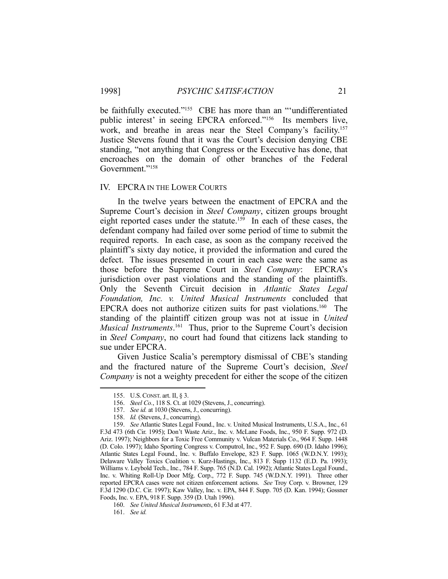be faithfully executed."<sup>155</sup> CBE has more than an "'undifferentiated public interest' in seeing EPCRA enforced."<sup>156</sup> Its members live, work, and breathe in areas near the Steel Company's facility.157 Justice Stevens found that it was the Court's decision denying CBE standing, "not anything that Congress or the Executive has done, that encroaches on the domain of other branches of the Federal Government."158

#### IV. EPCRA IN THE LOWER COURTS

 In the twelve years between the enactment of EPCRA and the Supreme Court's decision in *Steel Company*, citizen groups brought eight reported cases under the statute.<sup>159</sup> In each of these cases, the defendant company had failed over some period of time to submit the required reports. In each case, as soon as the company received the plaintiff's sixty day notice, it provided the information and cured the defect. The issues presented in court in each case were the same as those before the Supreme Court in *Steel Company*: EPCRA's jurisdiction over past violations and the standing of the plaintiffs. Only the Seventh Circuit decision in *Atlantic States Legal Foundation, Inc. v. United Musical Instruments* concluded that EPCRA does not authorize citizen suits for past violations.<sup>160</sup> The standing of the plaintiff citizen group was not at issue in *United Musical Instruments*.<sup>161</sup> Thus, prior to the Supreme Court's decision in *Steel Company*, no court had found that citizens lack standing to sue under EPCRA.

 Given Justice Scalia's peremptory dismissal of CBE's standing and the fractured nature of the Supreme Court's decision, *Steel Company* is not a weighty precedent for either the scope of the citizen

 <sup>155.</sup> U.S.CONST. art. II, § 3.

 <sup>156.</sup> *Steel Co.*, 118 S. Ct. at 1029 (Stevens, J., concurring).

 <sup>157.</sup> *See id.* at 1030 (Stevens, J., concurring).

 <sup>158.</sup> *Id.* (Stevens, J., concurring).

 <sup>159.</sup> *See* Atlantic States Legal Found., Inc. v. United Musical Instruments, U.S.A., Inc., 61 F.3d 473 (6th Cir. 1995); Don't Waste Ariz., Inc. v. McLane Foods, Inc., 950 F. Supp. 972 (D. Ariz. 1997); Neighbors for a Toxic Free Community v. Vulcan Materials Co., 964 F. Supp. 1448 (D. Colo. 1997); Idaho Sporting Congress v. Computrol, Inc., 952 F. Supp. 690 (D. Idaho 1996); Atlantic States Legal Found., Inc. v. Buffalo Envelope, 823 F. Supp. 1065 (W.D.N.Y. 1993); Delaware Valley Toxics Coalition v. Kurz-Hastings, Inc., 813 F. Supp 1132 (E.D. Pa. 1993); Williams v. Leybold Tech., Inc., 784 F. Supp. 765 (N.D. Cal. 1992); Atlantic States Legal Found., Inc. v. Whiting Roll-Up Door Mfg. Corp., 772 F. Supp. 745 (W.D.N.Y. 1991). Three other reported EPCRA cases were not citizen enforcement actions. *See* Troy Corp. v. Browner, 129 F.3d 1290 (D.C. Cir. 1997); Kaw Valley, Inc. v. EPA, 844 F. Supp. 705 (D. Kan. 1994); Gossner Foods, Inc. v. EPA, 918 F. Supp. 359 (D. Utah 1996).

 <sup>160.</sup> *See United Musical Instruments*, 61 F.3d at 477.

 <sup>161.</sup> *See id.*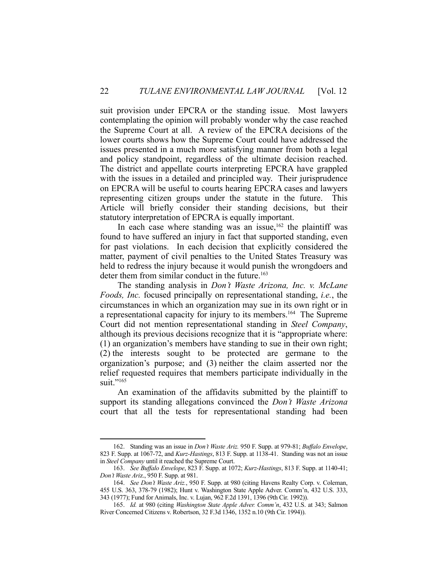suit provision under EPCRA or the standing issue. Most lawyers contemplating the opinion will probably wonder why the case reached the Supreme Court at all. A review of the EPCRA decisions of the lower courts shows how the Supreme Court could have addressed the issues presented in a much more satisfying manner from both a legal and policy standpoint, regardless of the ultimate decision reached. The district and appellate courts interpreting EPCRA have grappled with the issues in a detailed and principled way. Their jurisprudence on EPCRA will be useful to courts hearing EPCRA cases and lawyers representing citizen groups under the statute in the future. This Article will briefly consider their standing decisions, but their statutory interpretation of EPCRA is equally important.

In each case where standing was an issue,  $162$  the plaintiff was found to have suffered an injury in fact that supported standing, even for past violations. In each decision that explicitly considered the matter, payment of civil penalties to the United States Treasury was held to redress the injury because it would punish the wrongdoers and deter them from similar conduct in the future.<sup>163</sup>

 The standing analysis in *Don't Waste Arizona, Inc. v. McLane Foods, Inc.* focused principally on representational standing, *i.e.*, the circumstances in which an organization may sue in its own right or in a representational capacity for injury to its members.164 The Supreme Court did not mention representational standing in *Steel Company*, although its previous decisions recognize that it is "appropriate where: (1) an organization's members have standing to sue in their own right; (2) the interests sought to be protected are germane to the organization's purpose; and (3) neither the claim asserted nor the relief requested requires that members participate individually in the suit."<sup>165</sup>

 An examination of the affidavits submitted by the plaintiff to support its standing allegations convinced the *Don't Waste Arizona* court that all the tests for representational standing had been

 <sup>162.</sup> Standing was an issue in *Don't Waste Ariz.* 950 F. Supp. at 979-81; *Buffalo Envelope*, 823 F. Supp. at 1067-72, and *Kurz-Hastings*, 813 F. Supp. at 1138-41. Standing was not an issue in *Steel Company* until it reached the Supreme Court.

 <sup>163.</sup> *See Buffalo Envelope*, 823 F. Supp. at 1072; *Kurz-Hastings*, 813 F. Supp. at 1140-41; *Don't Waste Ari*z., 950 F. Supp. at 981.

 <sup>164.</sup> *See Don't Waste Ariz.*, 950 F. Supp. at 980 (citing Havens Realty Corp. v. Coleman, 455 U.S. 363, 378-79 (1982); Hunt v. Washington State Apple Adver. Comm'n, 432 U.S. 333, 343 (1977); Fund for Animals, Inc. v. Lujan, 962 F.2d 1391, 1396 (9th Cir. 1992)).

 <sup>165.</sup> *Id.* at 980 (citing *Washington State Apple Adver. Comm'n*, 432 U.S. at 343; Salmon River Concerned Citizens v. Robertson, 32 F.3d 1346, 1352 n.10 (9th Cir. 1994)).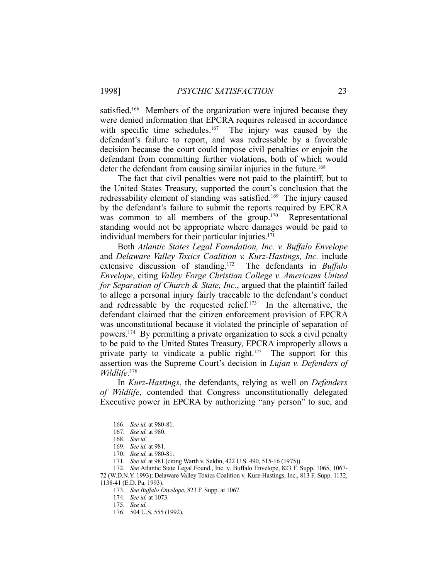satisfied.<sup>166</sup> Members of the organization were injured because they were denied information that EPCRA requires released in accordance with specific time schedules.<sup>167</sup> The injury was caused by the defendant's failure to report, and was redressable by a favorable decision because the court could impose civil penalties or enjoin the defendant from committing further violations, both of which would deter the defendant from causing similar injuries in the future. 168

 The fact that civil penalties were not paid to the plaintiff, but to the United States Treasury, supported the court's conclusion that the redressability element of standing was satisfied.169 The injury caused by the defendant's failure to submit the reports required by EPCRA was common to all members of the group.<sup>170</sup> Representational standing would not be appropriate where damages would be paid to individual members for their particular injuries.<sup>171</sup>

 Both *Atlantic States Legal Foundation, Inc. v. Buffalo Envelope* and *Delaware Valley Toxics Coalition v. Kurz-Hastings, Inc.* include extensive discussion of standing.172 The defendants in *Buffalo Envelope*, citing *Valley Forge Christian College v. Americans United for Separation of Church & State, Inc.*, argued that the plaintiff failed to allege a personal injury fairly traceable to the defendant's conduct and redressable by the requested relief.<sup>173</sup> In the alternative, the defendant claimed that the citizen enforcement provision of EPCRA was unconstitutional because it violated the principle of separation of powers.174 By permitting a private organization to seek a civil penalty to be paid to the United States Treasury, EPCRA improperly allows a private party to vindicate a public right.<sup>175</sup> The support for this assertion was the Supreme Court's decision in *Lujan v. Defenders of Wildlife*. 176

 In *Kurz-Hastings*, the defendants, relying as well on *Defenders of Wildlife*, contended that Congress unconstitutionally delegated Executive power in EPCRA by authorizing "any person" to sue, and

 <sup>166.</sup> *See id.* at 980-81.

 <sup>167.</sup> *See id.* at 980.

 <sup>168.</sup> *See id.*

 <sup>169.</sup> *See id.* at 981.

 <sup>170.</sup> *See id.* at 980-81.

 <sup>171.</sup> *See id.* at 981 (citing Warth v. Seldin, 422 U.S. 490, 515-16 (1975)).

 <sup>172.</sup> *See* Atlantic State Legal Found., Inc. v. Buffalo Envelope, 823 F. Supp. 1065, 1067- 72 (W.D.N.Y. 1993); Delaware Valley Toxics Coalition v. Kurz-Hastings, Inc., 813 F. Supp. 1132, 1138-41 (E.D. Pa. 1993).

 <sup>173.</sup> *See Buffalo Envelope*, 823 F. Supp. at 1067.

 <sup>174.</sup> *See id.* at 1073.

 <sup>175.</sup> *See id.*

 <sup>176. 504</sup> U.S. 555 (1992).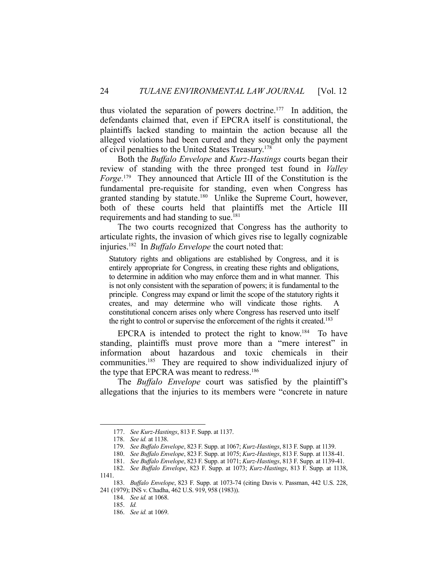thus violated the separation of powers doctrine.177 In addition, the defendants claimed that, even if EPCRA itself is constitutional, the plaintiffs lacked standing to maintain the action because all the alleged violations had been cured and they sought only the payment of civil penalties to the United States Treasury.178

 Both the *Buffalo Envelope* and *Kurz-Hastings* courts began their review of standing with the three pronged test found in *Valley Forge*. 179 They announced that Article III of the Constitution is the fundamental pre-requisite for standing, even when Congress has granted standing by statute.<sup>180</sup> Unlike the Supreme Court, however, both of these courts held that plaintiffs met the Article III requirements and had standing to sue.<sup>181</sup>

 The two courts recognized that Congress has the authority to articulate rights, the invasion of which gives rise to legally cognizable injuries.182 In *Buffalo Envelope* the court noted that:

Statutory rights and obligations are established by Congress, and it is entirely appropriate for Congress, in creating these rights and obligations, to determine in addition who may enforce them and in what manner. This is not only consistent with the separation of powers; it is fundamental to the principle. Congress may expand or limit the scope of the statutory rights it creates, and may determine who will vindicate those rights. A constitutional concern arises only where Congress has reserved unto itself the right to control or supervise the enforcement of the rights it created.<sup>183</sup>

EPCRA is intended to protect the right to know.<sup>184</sup> To have standing, plaintiffs must prove more than a "mere interest" in information about hazardous and toxic chemicals in their communities.<sup>185</sup> They are required to show individualized injury of the type that EPCRA was meant to redress.<sup>186</sup>

 The *Buffalo Envelope* court was satisfied by the plaintiff's allegations that the injuries to its members were "concrete in nature

 <sup>177.</sup> *See Kurz-Hastings*, 813 F. Supp. at 1137.

 <sup>178.</sup> *See id.* at 1138.

 <sup>179.</sup> *See Buffalo Envelope*, 823 F. Supp. at 1067; *Kurz-Hastings*, 813 F. Supp. at 1139.

 <sup>180.</sup> *See Buffalo Envelope*, 823 F. Supp. at 1075; *Kurz-Hastings*, 813 F. Supp. at 1138-41.

 <sup>181.</sup> *See Buffalo Envelope*, 823 F. Supp. at 1071; *Kurz-Hastings*, 813 F. Supp. at 1139-41.

 <sup>182.</sup> *See Buffalo Envelope*, 823 F. Supp. at 1073; *Kurz-Hastings*, 813 F. Supp. at 1138, 1141.

 <sup>183.</sup> *Buffalo Envelope*, 823 F. Supp. at 1073-74 (citing Davis v. Passman, 442 U.S. 228, 241 (1979); INS v. Chadha, 462 U.S. 919, 958 (1983)).

 <sup>184.</sup> *See id.* at 1068.

 <sup>185.</sup> *Id.*

 <sup>186.</sup> *See id.* at 1069.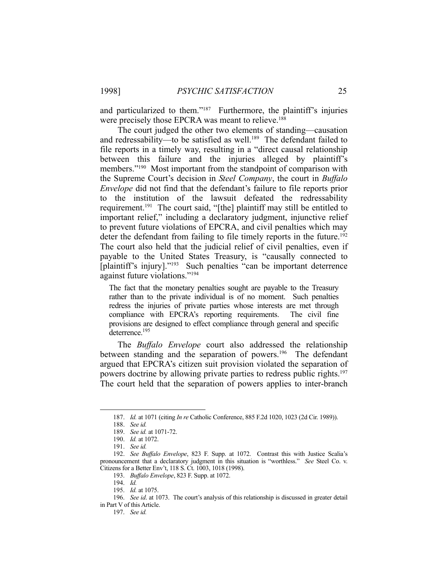and particularized to them."187 Furthermore, the plaintiff's injuries were precisely those EPCRA was meant to relieve.<sup>188</sup>

 The court judged the other two elements of standing—causation and redressability—to be satisfied as well.<sup>189</sup> The defendant failed to file reports in a timely way, resulting in a "direct causal relationship between this failure and the injuries alleged by plaintiff's members."<sup>190</sup> Most important from the standpoint of comparison with the Supreme Court's decision in *Steel Company*, the court in *Buffalo Envelope* did not find that the defendant's failure to file reports prior to the institution of the lawsuit defeated the redressability requirement.<sup>191</sup> The court said, "[the] plaintiff may still be entitled to important relief," including a declaratory judgment, injunctive relief to prevent future violations of EPCRA, and civil penalties which may deter the defendant from failing to file timely reports in the future.<sup>192</sup> The court also held that the judicial relief of civil penalties, even if payable to the United States Treasury, is "causally connected to [plaintiff's injury]."193 Such penalties "can be important deterrence against future violations."194

The fact that the monetary penalties sought are payable to the Treasury rather than to the private individual is of no moment. Such penalties redress the injuries of private parties whose interests are met through compliance with EPCRA's reporting requirements. The civil fine provisions are designed to effect compliance through general and specific deterrence.195

 The *Buffalo Envelope* court also addressed the relationship between standing and the separation of powers.<sup>196</sup> The defendant argued that EPCRA's citizen suit provision violated the separation of powers doctrine by allowing private parties to redress public rights.<sup>197</sup> The court held that the separation of powers applies to inter-branch

 <sup>187.</sup> *Id.* at 1071 (citing *In re* Catholic Conference, 885 F.2d 1020, 1023 (2d Cir. 1989)).

 <sup>188.</sup> *See id.*

 <sup>189.</sup> *See id.* at 1071-72.

 <sup>190.</sup> *Id.* at 1072.

 <sup>191.</sup> *See id.*

 <sup>192.</sup> *See Buffalo Envelope*, 823 F. Supp. at 1072. Contrast this with Justice Scalia's pronouncement that a declaratory judgment in this situation is "worthless." *See* Steel Co. v. Citizens for a Better Env't, 118 S. Ct. 1003, 1018 (1998).

 <sup>193.</sup> *Buffalo Envelope*, 823 F. Supp. at 1072.

 <sup>194.</sup> *Id.*

 <sup>195.</sup> *Id.* at 1075.

 <sup>196.</sup> *See id*. at 1073. The court's analysis of this relationship is discussed in greater detail in Part V of this Article.

 <sup>197.</sup> *See id.*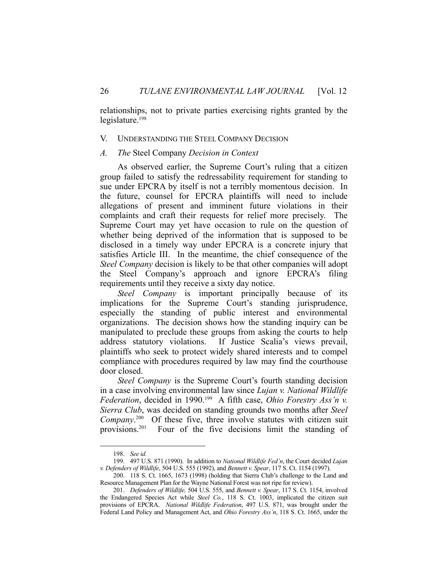relationships, not to private parties exercising rights granted by the legislature.198

#### V. UNDERSTANDING THE STEEL COMPANY DECISION

# *A. The* Steel Company *Decision in Context*

 As observed earlier, the Supreme Court's ruling that a citizen group failed to satisfy the redressability requirement for standing to sue under EPCRA by itself is not a terribly momentous decision. In the future, counsel for EPCRA plaintiffs will need to include allegations of present and imminent future violations in their complaints and craft their requests for relief more precisely. The Supreme Court may yet have occasion to rule on the question of whether being deprived of the information that is supposed to be disclosed in a timely way under EPCRA is a concrete injury that satisfies Article III. In the meantime, the chief consequence of the *Steel Company* decision is likely to be that other companies will adopt the Steel Company's approach and ignore EPCRA's filing requirements until they receive a sixty day notice.

*Steel Company* is important principally because of its implications for the Supreme Court's standing jurisprudence, especially the standing of public interest and environmental organizations. The decision shows how the standing inquiry can be manipulated to preclude these groups from asking the courts to help address statutory violations. If Justice Scalia's views prevail, plaintiffs who seek to protect widely shared interests and to compel compliance with procedures required by law may find the courthouse door closed.

*Steel Company* is the Supreme Court's fourth standing decision in a case involving environmental law since *Lujan v. National Wildlife Federation*, decided in 1990.<sup>199</sup> A fifth case, *Ohio Forestry Ass'n v. Sierra Club*, was decided on standing grounds two months after *Steel Company*. 200 Of these five, three involve statutes with citizen suit provisions.201 Four of the five decisions limit the standing of

 <sup>198.</sup> *See id.*

 <sup>199. 497</sup> U.S. 871 (1990). In addition to *National Wildlife Fed'n*, the Court decided *Lujan v. Defenders of Wildlife*, 504 U.S. 555 (1992), and *Bennett v. Spear*, 117 S. Ct. 1154 (1997).

 <sup>200. 118</sup> S. Ct. 1665, 1673 (1998) (holding that Sierra Club's challenge to the Land and Resource Management Plan for the Wayne National Forest was not ripe for review).

 <sup>201.</sup> *Defenders of Wildlife,* 504 U.S. 555, and *Bennett v. Spear*, 117 S. Ct. 1154, involved the Endangered Species Act while *Steel Co.*, 118 S. Ct. 1003, implicated the citizen suit provisions of EPCRA. *National Wildlife Federation*, 497 U.S. 871, was brought under the Federal Land Policy and Management Act, and *Ohio Forestry Ass'n*, 118 S. Ct. 1665, under the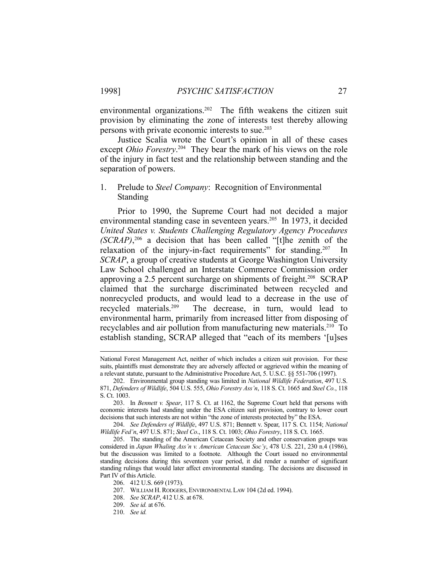environmental organizations.<sup>202</sup> The fifth weakens the citizen suit provision by eliminating the zone of interests test thereby allowing persons with private economic interests to sue.203

 Justice Scalia wrote the Court's opinion in all of these cases except *Ohio Forestry*.<sup>204</sup> They bear the mark of his views on the role of the injury in fact test and the relationship between standing and the separation of powers.

# 1. Prelude to *Steel Company*: Recognition of Environmental Standing

 Prior to 1990, the Supreme Court had not decided a major environmental standing case in seventeen years.<sup>205</sup> In 1973, it decided *United States v. Students Challenging Regulatory Agency Procedures (SCRAP)*, 206 a decision that has been called "[t]he zenith of the relaxation of the injury-in-fact requirements" for standing.<sup>207</sup> In *SCRAP*, a group of creative students at George Washington University Law School challenged an Interstate Commerce Commission order approving a 2.5 percent surcharge on shipments of freight.<sup>208</sup> SCRAP claimed that the surcharge discriminated between recycled and nonrecycled products, and would lead to a decrease in the use of recycled materials.209 The decrease, in turn, would lead to environmental harm, primarily from increased litter from disposing of recyclables and air pollution from manufacturing new materials.210 To establish standing, SCRAP alleged that "each of its members '[u]ses

National Forest Management Act, neither of which includes a citizen suit provision. For these suits, plaintiffs must demonstrate they are adversely affected or aggrieved within the meaning of a relevant statute, pursuant to the Administrative Procedure Act, 5. U.S.C. §§ 551-706 (1997).

 <sup>202.</sup> Environmental group standing was limited in *National Wildlife Federation*, 497 U.S. 871, *Defenders of Wildlife*, 504 U.S. 555, *Ohio Forestry Ass'n*, 118 S. Ct. 1665 and *Steel Co.*, 118 S. Ct. 1003.

 <sup>203.</sup> In *Bennett v. Spear*, 117 S. Ct. at 1162, the Supreme Court held that persons with economic interests had standing under the ESA citizen suit provision, contrary to lower court decisions that such interests are not within "the zone of interests protected by" the ESA.

 <sup>204.</sup> *See Defenders of Wildlife*, 497 U.S. 871; Bennett v. Spear, 117 S. Ct. 1154; *National Wildlife Fed'n*, 497 U.S. 871; *Steel Co*., 118 S. Ct. 1003; *Ohio Forestry*, 118 S. Ct. 1665.

 <sup>205.</sup> The standing of the American Cetacean Society and other conservation groups was considered in *Japan Whaling Ass'n v. American Cetacean Soc'y*, 478 U.S. 221, 230 n.4 (1986), but the discussion was limited to a footnote. Although the Court issued no environmental standing decisions during this seventeen year period, it did render a number of significant standing rulings that would later affect environmental standing. The decisions are discussed in Part IV of this Article.

 <sup>206. 412</sup> U.S. 669 (1973).

 <sup>207.</sup> WILLIAM H.RODGERS, ENVIRONMENTAL LAW 104 (2d ed. 1994).

 <sup>208.</sup> *See SCRAP*, 412 U.S. at 678.

 <sup>209.</sup> *See id.* at 676.

 <sup>210.</sup> *See id.*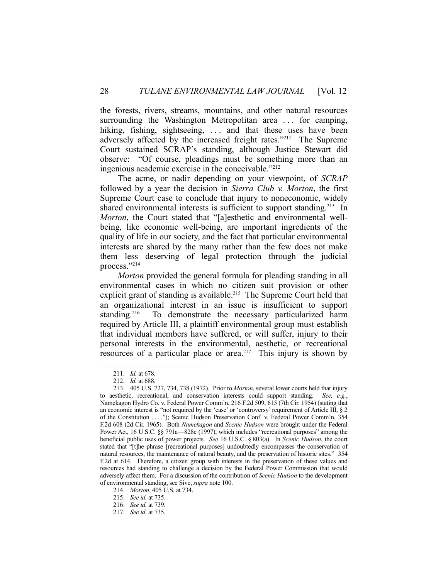the forests, rivers, streams, mountains, and other natural resources surrounding the Washington Metropolitan area ... for camping, hiking, fishing, sightseeing, ... and that these uses have been adversely affected by the increased freight rates."<sup>211</sup> The Supreme Court sustained SCRAP's standing, although Justice Stewart did observe: "Of course, pleadings must be something more than an ingenious academic exercise in the conceivable."212

 The acme, or nadir depending on your viewpoint, of *SCRAP* followed by a year the decision in *Sierra Club v. Morton*, the first Supreme Court case to conclude that injury to noneconomic, widely shared environmental interests is sufficient to support standing.<sup>213</sup> In *Morton*, the Court stated that "[a]esthetic and environmental wellbeing, like economic well-being, are important ingredients of the quality of life in our society, and the fact that particular environmental interests are shared by the many rather than the few does not make them less deserving of legal protection through the judicial process."214

*Morton* provided the general formula for pleading standing in all environmental cases in which no citizen suit provision or other explicit grant of standing is available.<sup>215</sup> The Supreme Court held that an organizational interest in an issue is insufficient to support standing.<sup>216</sup> To demonstrate the necessary particularized harm required by Article III, a plaintiff environmental group must establish that individual members have suffered, or will suffer, injury to their personal interests in the environmental, aesthetic, or recreational resources of a particular place or area.<sup>217</sup> This injury is shown by

 <sup>211.</sup> *Id.* at 678.

 <sup>212.</sup> *Id.* at 688.

 <sup>213. 405</sup> U.S. 727, 734, 738 (1972). Prior to *Morton*, several lower courts held that injury to aesthetic, recreational, and conservation interests could support standing. *See, e.g.*, Namekagon Hydro Co. v. Federal Power Comm'n, 216 F.2d 509, 615 (7th Cir. 1954) (stating that an economic interest is "not required by the 'case' or 'controversy' requirement of Article III, § 2 of the Constitution . . . ."); Scenic Hudson Preservation Conf. v. Federal Power Comm'n, 354 F.2d 608 (2d Cir. 1965). Both *Namekagon* and *Scenic Hudson* were brought under the Federal Power Act, 16 U.S.C. §§ 791a—828c (1997), which includes "recreational purposes" among the beneficial public uses of power projects. *See* 16 U.S.C. § 803(a). In *Scenic Hudson*, the court stated that "[t]he phrase [recreational purposes] undoubtedly encompasses the conservation of natural resources, the maintenance of natural beauty, and the preservation of historic sites." 354 F.2d at 614. Therefore, a citizen group with interests in the preservation of these values and resources had standing to challenge a decision by the Federal Power Commission that would adversely affect them. For a discussion of the contribution of *Scenic Hudson* to the development of environmental standing, see Sive, *supra* note 100.

 <sup>214.</sup> *Morton*, 405 U.S. at 734.

 <sup>215.</sup> *See id.* at 735.

 <sup>216.</sup> *See id.* at 739.

 <sup>217.</sup> *See id.* at 735.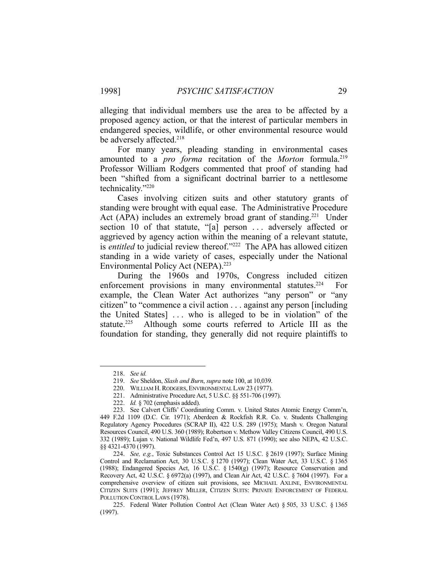alleging that individual members use the area to be affected by a proposed agency action, or that the interest of particular members in endangered species, wildlife, or other environmental resource would be adversely affected.<sup>218</sup>

 For many years, pleading standing in environmental cases amounted to a *pro forma* recitation of the *Morton* formula.<sup>219</sup> Professor William Rodgers commented that proof of standing had been "shifted from a significant doctrinal barrier to a nettlesome technicality."220

 Cases involving citizen suits and other statutory grants of standing were brought with equal ease. The Administrative Procedure Act (APA) includes an extremely broad grant of standing.<sup>221</sup> Under section 10 of that statute, "[a] person ... adversely affected or aggrieved by agency action within the meaning of a relevant statute, is *entitled* to judicial review thereof."<sup>222</sup> The APA has allowed citizen standing in a wide variety of cases, especially under the National Environmental Policy Act (NEPA).<sup>223</sup>

 During the 1960s and 1970s, Congress included citizen enforcement provisions in many environmental statutes.<sup>224</sup> For example, the Clean Water Act authorizes "any person" or "any citizen" to "commence a civil action . . . against any person [including the United States] . . . who is alleged to be in violation" of the statute.<sup>225</sup> Although some courts referred to Article III as the foundation for standing, they generally did not require plaintiffs to

 <sup>218.</sup> *See id.*

 <sup>219.</sup> *See* Sheldon, *Slash and Burn*, *supra* note 100, at 10,039.

 <sup>220.</sup> WILLIAM H.RODGERS, ENVIRONMENTAL LAW 23 (1977).

 <sup>221.</sup> Administrative Procedure Act, 5 U.S.C. §§ 551-706 (1997).

 <sup>222.</sup> *Id.* § 702 (emphasis added).

 <sup>223.</sup> See Calvert Cliffs' Coordinating Comm. v. United States Atomic Energy Comm'n, 449 F.2d 1109 (D.C. Cir. 1971); Aberdeen & Rockfish R.R. Co. v. Students Challenging Regulatory Agency Procedures (SCRAP II), 422 U.S. 289 (1975); Marsh v. Oregon Natural Resources Council, 490 U.S. 360 (1989); Robertson v. Methow Valley Citizens Council, 490 U.S. 332 (1989); Lujan v. National Wildlife Fed'n, 497 U.S. 871 (1990); see also NEPA, 42 U.S.C. §§ 4321-4370 (1997).

 <sup>224.</sup> *See, e.g.*, Toxic Substances Control Act 15 U.S.C. § 2619 (1997); Surface Mining Control and Reclamation Act, 30 U.S.C. § 1270 (1997); Clean Water Act, 33 U.S.C. § 1365 (1988); Endangered Species Act, 16 U.S.C. § 1540(g) (1997); Resource Conservation and Recovery Act, 42 U.S.C. § 6972(a) (1997), and Clean Air Act, 42 U.S.C. § 7604 (1997). For a comprehensive overview of citizen suit provisions, see MICHAEL AXLINE, ENVIRONMENTAL CITIZEN SUITS (1991); JEFFREY MILLER, CITIZEN SUITS: PRIVATE ENFORCEMENT OF FEDERAL POLLUTION CONTROL LAWS (1978).

 <sup>225.</sup> Federal Water Pollution Control Act (Clean Water Act) § 505, 33 U.S.C. § 1365 (1997).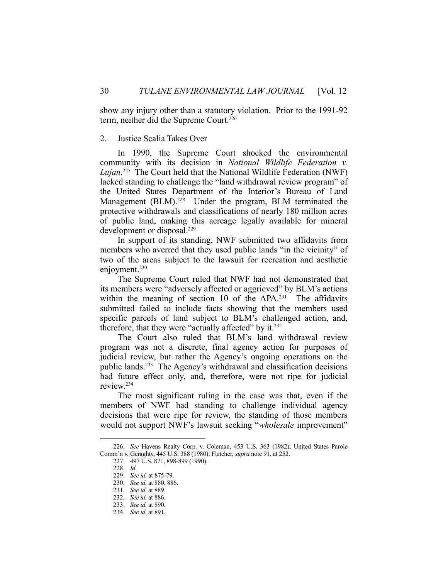show any injury other than a statutory violation. Prior to the 1991-92 term, neither did the Supreme Court.<sup>226</sup>

#### 2. Justice Scalia Takes Over

 In 1990, the Supreme Court shocked the environmental community with its decision in *National Wildlife Federation v. Lujan*. 227 The Court held that the National Wildlife Federation (NWF) lacked standing to challenge the "land withdrawal review program" of the United States Department of the Interior's Bureau of Land Management (BLM).<sup>228</sup> Under the program, BLM terminated the protective withdrawals and classifications of nearly 180 million acres of public land, making this acreage legally available for mineral development or disposal.<sup>229</sup>

 In support of its standing, NWF submitted two affidavits from members who averred that they used public lands "in the vicinity" of two of the areas subject to the lawsuit for recreation and aesthetic enjoyment.<sup>230</sup>

 The Supreme Court ruled that NWF had not demonstrated that its members were "adversely affected or aggrieved" by BLM's actions within the meaning of section 10 of the  $APA<sup>231</sup>$ . The affidavits submitted failed to include facts showing that the members used specific parcels of land subject to BLM's challenged action, and, therefore, that they were "actually affected" by it. $232$ 

 The Court also ruled that BLM's land withdrawal review program was not a discrete, final agency action for purposes of judicial review, but rather the Agency's ongoing operations on the public lands.<sup>233</sup> The Agency's withdrawal and classification decisions had future effect only, and, therefore, were not ripe for judicial review.234

 The most significant ruling in the case was that, even if the members of NWF had standing to challenge individual agency decisions that were ripe for review, the standing of those members would not support NWF's lawsuit seeking "*wholesale* improvement"

 <sup>226.</sup> *See* Havens Realty Corp. v. Coleman, 453 U.S. 363 (1982); United States Parole Comm'n v. Geraghty, 445 U.S. 388 (1980); Fletcher, *supra* note 91, at 252.

 <sup>227. 497</sup> U.S. 871, 898-899 (1990).

 <sup>228.</sup> *Id.*

 <sup>229.</sup> *See id.* at 875-79.

 <sup>230.</sup> *See id.* at 880, 886.

 <sup>231.</sup> *See id.* at 889.

 <sup>232.</sup> *See id.* at 886.

 <sup>233.</sup> *See id.* at 890.

 <sup>234.</sup> *See id.* at 891.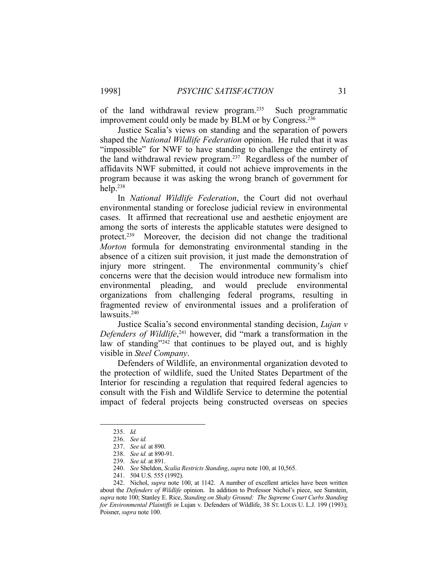of the land withdrawal review program.235 Such programmatic improvement could only be made by BLM or by Congress.<sup>236</sup>

 Justice Scalia's views on standing and the separation of powers shaped the *National Wildlife Federation* opinion. He ruled that it was "impossible" for NWF to have standing to challenge the entirety of the land withdrawal review program.237 Regardless of the number of affidavits NWF submitted, it could not achieve improvements in the program because it was asking the wrong branch of government for help.238

 In *National Wildlife Federation*, the Court did not overhaul environmental standing or foreclose judicial review in environmental cases. It affirmed that recreational use and aesthetic enjoyment are among the sorts of interests the applicable statutes were designed to protect.239 Moreover, the decision did not change the traditional *Morton* formula for demonstrating environmental standing in the absence of a citizen suit provision, it just made the demonstration of injury more stringent. The environmental community's chief concerns were that the decision would introduce new formalism into environmental pleading, and would preclude environmental organizations from challenging federal programs, resulting in fragmented review of environmental issues and a proliferation of lawsuits.<sup>240</sup>

 Justice Scalia's second environmental standing decision, *Lujan v Defenders of Wildlife*, 241 however, did "mark a transformation in the law of standing" $242$  that continues to be played out, and is highly visible in *Steel Company*.

 Defenders of Wildlife, an environmental organization devoted to the protection of wildlife, sued the United States Department of the Interior for rescinding a regulation that required federal agencies to consult with the Fish and Wildlife Service to determine the potential impact of federal projects being constructed overseas on species

 <sup>235.</sup> *Id.*

 <sup>236.</sup> *See id.*

 <sup>237.</sup> *See id.* at 890.

 <sup>238.</sup> *See id.* at 890-91.

 <sup>239.</sup> *See id.* at 891.

 <sup>240.</sup> *See* Sheldon, *Scalia Restricts Standing*, *supra* note 100, at 10,565.

 <sup>241. 504</sup> U.S. 555 (1992).

 <sup>242.</sup> Nichol, *supra* note 100, at 1142. A number of excellent articles have been written about the *Defenders of Wildlife* opinion. In addition to Professor Nichol's piece, see Sunstein, *supra* note 100; Stanley E. Rice, *Standing on Shaky Ground: The Supreme Court Curbs Standing for Environmental Plaintiffs in* Lujan v. Defenders of Wildlife, 38 ST. LOUIS U. L.J. 199 (1993); Poisner, *supra* note 100.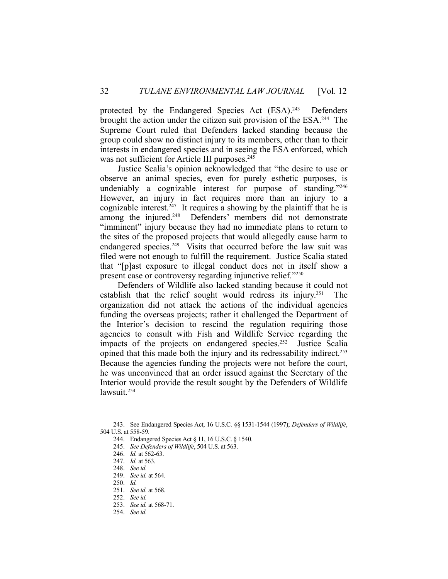protected by the Endangered Species Act (ESA).<sup>243</sup> Defenders brought the action under the citizen suit provision of the ESA.<sup>244</sup> The Supreme Court ruled that Defenders lacked standing because the group could show no distinct injury to its members, other than to their interests in endangered species and in seeing the ESA enforced, which was not sufficient for Article III purposes.<sup>245</sup>

 Justice Scalia's opinion acknowledged that "the desire to use or observe an animal species, even for purely esthetic purposes, is undeniably a cognizable interest for purpose of standing."246 However, an injury in fact requires more than an injury to a cognizable interest.<sup>247</sup> It requires a showing by the plaintiff that he is among the injured.<sup>248</sup> Defenders' members did not demonstrate "imminent" injury because they had no immediate plans to return to the sites of the proposed projects that would allegedly cause harm to endangered species.<sup>249</sup> Visits that occurred before the law suit was filed were not enough to fulfill the requirement. Justice Scalia stated that "[p]ast exposure to illegal conduct does not in itself show a present case or controversy regarding injunctive relief."250

 Defenders of Wildlife also lacked standing because it could not establish that the relief sought would redress its injury.<sup>251</sup> The organization did not attack the actions of the individual agencies funding the overseas projects; rather it challenged the Department of the Interior's decision to rescind the regulation requiring those agencies to consult with Fish and Wildlife Service regarding the impacts of the projects on endangered species.<sup>252</sup> Justice Scalia opined that this made both the injury and its redressability indirect.<sup>253</sup> Because the agencies funding the projects were not before the court, he was unconvinced that an order issued against the Secretary of the Interior would provide the result sought by the Defenders of Wildlife lawsuit.254

 <sup>243.</sup> See Endangered Species Act, 16 U.S.C. §§ 1531-1544 (1997); *Defenders of Wildlife*, 504 U.S. at 558-59.

 <sup>244.</sup> Endangered Species Act § 11, 16 U.S.C. § 1540.

 <sup>245.</sup> *See Defenders of Wildlife*, 504 U.S. at 563.

 <sup>246.</sup> *Id.* at 562-63.

 <sup>247.</sup> *Id.* at 563.

 <sup>248.</sup> *See id.*

 <sup>249.</sup> *See id.* at 564.

 <sup>250.</sup> *Id.*

 <sup>251.</sup> *See id.* at 568.

 <sup>252.</sup> *See id.*

 <sup>253.</sup> *See id.* at 568-71.

 <sup>254.</sup> *See id.*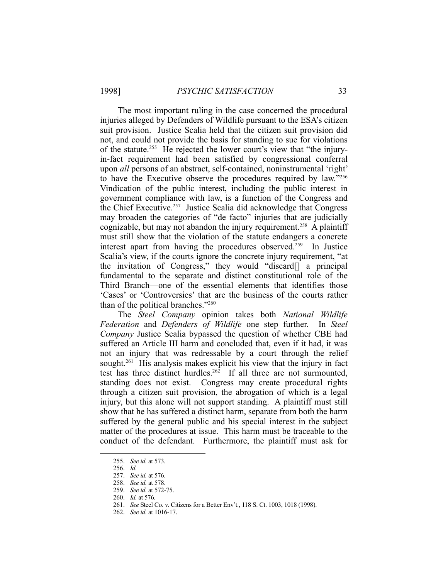The most important ruling in the case concerned the procedural injuries alleged by Defenders of Wildlife pursuant to the ESA's citizen suit provision. Justice Scalia held that the citizen suit provision did not, and could not provide the basis for standing to sue for violations of the statute.255 He rejected the lower court's view that "the injuryin-fact requirement had been satisfied by congressional conferral upon *all* persons of an abstract, self-contained, noninstrumental 'right' to have the Executive observe the procedures required by law."256 Vindication of the public interest, including the public interest in government compliance with law, is a function of the Congress and the Chief Executive.<sup>257</sup> Justice Scalia did acknowledge that Congress may broaden the categories of "de facto" injuries that are judicially cognizable, but may not abandon the injury requirement.<sup>258</sup> A plaintiff must still show that the violation of the statute endangers a concrete interest apart from having the procedures observed.259 In Justice Scalia's view, if the courts ignore the concrete injury requirement, "at the invitation of Congress," they would "discard[] a principal fundamental to the separate and distinct constitutional role of the Third Branch—one of the essential elements that identifies those 'Cases' or 'Controversies' that are the business of the courts rather than of the political branches."260

 The *Steel Company* opinion takes both *National Wildlife Federation* and *Defenders of Wildlife* one step further. In *Steel Company* Justice Scalia bypassed the question of whether CBE had suffered an Article III harm and concluded that, even if it had, it was not an injury that was redressable by a court through the relief sought.<sup>261</sup> His analysis makes explicit his view that the injury in fact test has three distinct hurdles.<sup>262</sup> If all three are not surmounted, standing does not exist. Congress may create procedural rights through a citizen suit provision, the abrogation of which is a legal injury, but this alone will not support standing. A plaintiff must still show that he has suffered a distinct harm, separate from both the harm suffered by the general public and his special interest in the subject matter of the procedures at issue. This harm must be traceable to the conduct of the defendant. Furthermore, the plaintiff must ask for

 <sup>255.</sup> *See id.* at 573.

 <sup>256.</sup> *Id.*

 <sup>257.</sup> *See id.* at 576.

 <sup>258.</sup> *See id.* at 578.

 <sup>259.</sup> *See id.* at 572-75.

 <sup>260.</sup> *Id.* at 576.

 <sup>261.</sup> *See* Steel Co. v. Citizens for a Better Env't., 118 S. Ct. 1003, 1018 (1998).

 <sup>262.</sup> *See id.* at 1016-17.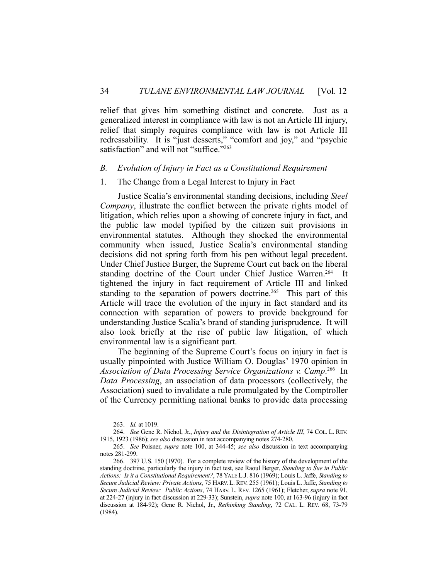relief that gives him something distinct and concrete. Just as a generalized interest in compliance with law is not an Article III injury, relief that simply requires compliance with law is not Article III redressability. It is "just desserts," "comfort and joy," and "psychic satisfaction" and will not "suffice."<sup>263</sup>

#### *B. Evolution of Injury in Fact as a Constitutional Requirement*

# 1. The Change from a Legal Interest to Injury in Fact

 Justice Scalia's environmental standing decisions, including *Steel Company*, illustrate the conflict between the private rights model of litigation, which relies upon a showing of concrete injury in fact, and the public law model typified by the citizen suit provisions in environmental statutes. Although they shocked the environmental community when issued, Justice Scalia's environmental standing decisions did not spring forth from his pen without legal precedent. Under Chief Justice Burger, the Supreme Court cut back on the liberal standing doctrine of the Court under Chief Justice Warren.<sup>264</sup> It tightened the injury in fact requirement of Article III and linked standing to the separation of powers doctrine.<sup>265</sup> This part of this Article will trace the evolution of the injury in fact standard and its connection with separation of powers to provide background for understanding Justice Scalia's brand of standing jurisprudence. It will also look briefly at the rise of public law litigation, of which environmental law is a significant part.

 The beginning of the Supreme Court's focus on injury in fact is usually pinpointed with Justice William O. Douglas' 1970 opinion in Association of Data Processing Service Organizations v. Camp.<sup>266</sup> In *Data Processing*, an association of data processors (collectively, the Association) sued to invalidate a rule promulgated by the Comptroller of the Currency permitting national banks to provide data processing

 <sup>263.</sup> *Id.* at 1019.

 <sup>264.</sup> *See* Gene R. Nichol, Jr., *Injury and the Disintegration of Article III*, 74 COL. L. REV. 1915, 1923 (1986); *see also* discussion in text accompanying notes 274-280.

 <sup>265.</sup> *See* Poisner, *supra* note 100, at 344-45; *see also* discussion in text accompanying notes 281-299.

 <sup>266. 397</sup> U.S. 150 (1970). For a complete review of the history of the development of the standing doctrine, particularly the injury in fact test, see Raoul Berger, *Standing to Sue in Public Actions: Is it a Constitutional Requirement?*, 78 YALE L.J. 816 (1969); Louis L. Jaffe, *Standing to Secure Judicial Review: Private Actions*, 75 HARV. L.REV. 255 (1961); Louis L. Jaffe, *Standing to Secure Judicial Review: Public Actions*, 74 HARV. L. REV. 1265 (1961); Fletcher, *supra* note 91, at 224-27 (injury in fact discussion at 229-33); Sunstein, *supra* note 100, at 163-96 (injury in fact discussion at 184-92); Gene R. Nichol, Jr., *Rethinking Standing*, 72 CAL. L. REV. 68, 73-79 (1984).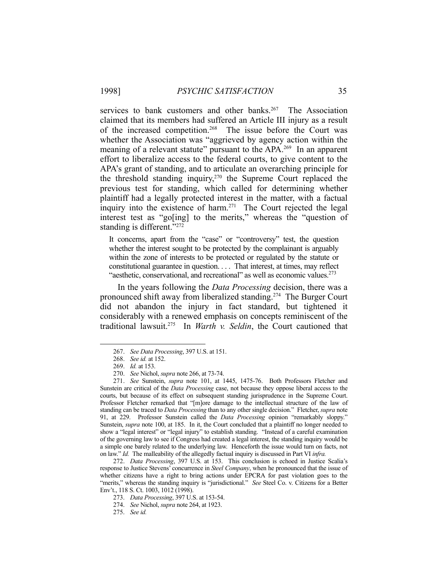services to bank customers and other banks.<sup>267</sup> The Association claimed that its members had suffered an Article III injury as a result of the increased competition.<sup>268</sup> The issue before the Court was whether the Association was "aggrieved by agency action within the meaning of a relevant statute" pursuant to the APA.<sup>269</sup> In an apparent effort to liberalize access to the federal courts, to give content to the APA's grant of standing, and to articulate an overarching principle for the threshold standing inquiry, $270$  the Supreme Court replaced the previous test for standing, which called for determining whether plaintiff had a legally protected interest in the matter, with a factual inquiry into the existence of harm.<sup>271</sup> The Court rejected the legal interest test as "go[ing] to the merits," whereas the "question of standing is different."<sup>272</sup>

It concerns, apart from the "case" or "controversy" test, the question whether the interest sought to be protected by the complainant is arguably within the zone of interests to be protected or regulated by the statute or constitutional guarantee in question. . . . That interest, at times, may reflect "aesthetic, conservational, and recreational" as well as economic values. $^{273}$ 

 In the years following the *Data Processing* decision, there was a pronounced shift away from liberalized standing.274 The Burger Court did not abandon the injury in fact standard, but tightened it considerably with a renewed emphasis on concepts reminiscent of the traditional lawsuit.275 In *Warth v. Seldin*, the Court cautioned that

1

 272. *Data Processing*, 397 U.S. at 153. This conclusion is echoed in Justice Scalia's response to Justice Stevens' concurrence in *Steel Company*, when he pronounced that the issue of whether citizens have a right to bring actions under EPCRA for past violation goes to the "merits," whereas the standing inquiry is "jurisdictional." *See Steel Co. v. Citizens for a Better* Env't., 118 S. Ct. 1003, 1012 (1998).

 <sup>267.</sup> *See Data Processing*, 397 U.S. at 151.

 <sup>268.</sup> *See id.* at 152.

 <sup>269.</sup> *Id.* at 153.

 <sup>270.</sup> *See* Nichol, *supra* note 266, at 73-74.

 <sup>271.</sup> *See* Sunstein, *supra* note 101, at 1445, 1475-76. Both Professors Fletcher and Sunstein are critical of the *Data Processing* case, not because they oppose liberal access to the courts, but because of its effect on subsequent standing jurisprudence in the Supreme Court. Professor Fletcher remarked that "[m]ore damage to the intellectual structure of the law of standing can be traced to *Data Processing* than to any other single decision." Fletcher, *supra* note 91, at 229. Professor Sunstein called the *Data Processing* opinion "remarkably sloppy." Sunstein, *supra* note 100, at 185. In it, the Court concluded that a plaintiff no longer needed to show a "legal interest" or "legal injury" to establish standing. "Instead of a careful examination of the governing law to see if Congress had created a legal interest, the standing inquiry would be a simple one barely related to the underlying law. Henceforth the issue would turn on facts, not on law." *Id.* The malleability of the allegedly factual inquiry is discussed in Part VI *infra.*

 <sup>273.</sup> *Data Processing*, 397 U.S. at 153-54.

 <sup>274.</sup> *See* Nichol, *supra* note 264, at 1923.

 <sup>275.</sup> *See id.*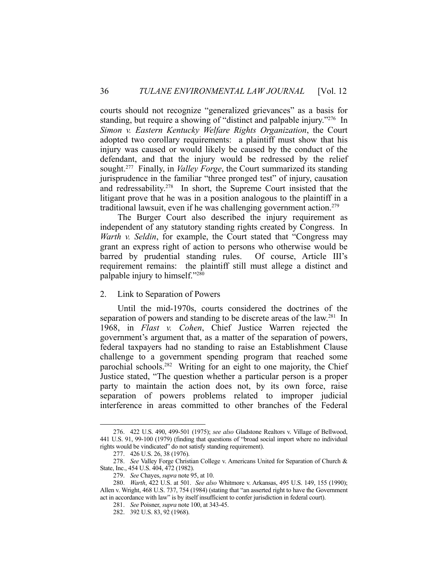courts should not recognize "generalized grievances" as a basis for standing, but require a showing of "distinct and palpable injury."276 In *Simon v. Eastern Kentucky Welfare Rights Organization*, the Court adopted two corollary requirements: a plaintiff must show that his injury was caused or would likely be caused by the conduct of the defendant, and that the injury would be redressed by the relief sought.277 Finally, in *Valley Forge*, the Court summarized its standing jurisprudence in the familiar "three pronged test" of injury, causation and redressability.<sup>278</sup> In short, the Supreme Court insisted that the litigant prove that he was in a position analogous to the plaintiff in a traditional lawsuit, even if he was challenging government action.<sup>279</sup>

 The Burger Court also described the injury requirement as independent of any statutory standing rights created by Congress. In *Warth v. Seldin*, for example, the Court stated that "Congress may grant an express right of action to persons who otherwise would be barred by prudential standing rules. Of course, Article III's requirement remains: the plaintiff still must allege a distinct and palpable injury to himself."280

#### 2. Link to Separation of Powers

 Until the mid-1970s, courts considered the doctrines of the separation of powers and standing to be discrete areas of the law.<sup>281</sup> In 1968, in *Flast v. Cohen*, Chief Justice Warren rejected the government's argument that, as a matter of the separation of powers, federal taxpayers had no standing to raise an Establishment Clause challenge to a government spending program that reached some parochial schools.<sup>282</sup> Writing for an eight to one majority, the Chief Justice stated, "The question whether a particular person is a proper party to maintain the action does not, by its own force, raise separation of powers problems related to improper judicial interference in areas committed to other branches of the Federal

 <sup>276. 422</sup> U.S. 490, 499-501 (1975); *see also* Gladstone Realtors v. Village of Bellwood, 441 U.S. 91, 99-100 (1979) (finding that questions of "broad social import where no individual rights would be vindicated" do not satisfy standing requirement).

 <sup>277. 426</sup> U.S. 26, 38 (1976).

 <sup>278.</sup> *See* Valley Forge Christian College v. Americans United for Separation of Church & State, Inc., 454 U.S. 404, 472 (1982).

 <sup>279.</sup> *See* Chayes, *supra* note 95, at 10.

 <sup>280.</sup> *Warth*, 422 U.S. at 501. *See also* Whitmore v. Arkansas, 495 U.S. 149, 155 (1990); Allen v. Wright, 468 U.S. 737, 754 (1984) (stating that "an asserted right to have the Government act in accordance with law" is by itself insufficient to confer jurisdiction in federal court).

 <sup>281.</sup> *See* Poisner, *supra* note 100, at 343-45.

 <sup>282. 392</sup> U.S. 83, 92 (1968).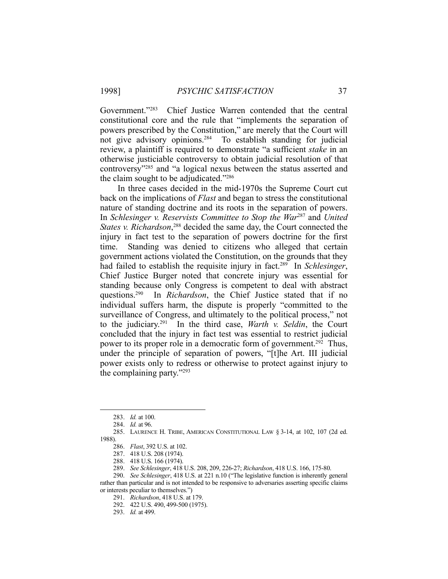Government."283 Chief Justice Warren contended that the central constitutional core and the rule that "implements the separation of powers prescribed by the Constitution," are merely that the Court will not give advisory opinions.284 To establish standing for judicial review, a plaintiff is required to demonstrate "a sufficient *stake* in an otherwise justiciable controversy to obtain judicial resolution of that controversy"285 and "a logical nexus between the status asserted and the claim sought to be adjudicated."286

 In three cases decided in the mid-1970s the Supreme Court cut back on the implications of *Flast* and began to stress the constitutional nature of standing doctrine and its roots in the separation of powers. In *Schlesinger v. Reservists Committee to Stop the War*287 and *United*  States v. Richardson,<sup>288</sup> decided the same day, the Court connected the injury in fact test to the separation of powers doctrine for the first time. Standing was denied to citizens who alleged that certain government actions violated the Constitution, on the grounds that they had failed to establish the requisite injury in fact.289 In *Schlesinger*, Chief Justice Burger noted that concrete injury was essential for standing because only Congress is competent to deal with abstract questions.290 In *Richardson*, the Chief Justice stated that if no individual suffers harm, the dispute is properly "committed to the surveillance of Congress, and ultimately to the political process," not to the judiciary.291 In the third case, *Warth v. Seldin*, the Court concluded that the injury in fact test was essential to restrict judicial power to its proper role in a democratic form of government.<sup>292</sup> Thus, under the principle of separation of powers, "[t]he Art. III judicial power exists only to redress or otherwise to protect against injury to the complaining party."293

 <sup>283.</sup> *Id.* at 100.

 <sup>284.</sup> *Id.* at 96.

 <sup>285.</sup> LAURENCE H. TRIBE, AMERICAN CONSTITUTIONAL LAW § 3-14, at 102, 107 (2d ed. 1988).

 <sup>286.</sup> *Flast*, 392 U.S. at 102.

 <sup>287. 418</sup> U.S. 208 (1974).

 <sup>288. 418</sup> U.S. 166 (1974).

 <sup>289.</sup> *See Schlesinger*, 418 U.S. 208, 209, 226-27; *Richardson*, 418 U.S. 166, 175-80.

 <sup>290.</sup> *See Schlesinger*, 418 U.S. at 221 n.10 ("The legislative function is inherently general rather than particular and is not intended to be responsive to adversaries asserting specific claims or interests peculiar to themselves.")

 <sup>291.</sup> *Richardson*, 418 U.S. at 179.

 <sup>292. 422</sup> U.S. 490, 499-500 (1975).

 <sup>293.</sup> *Id.* at 499.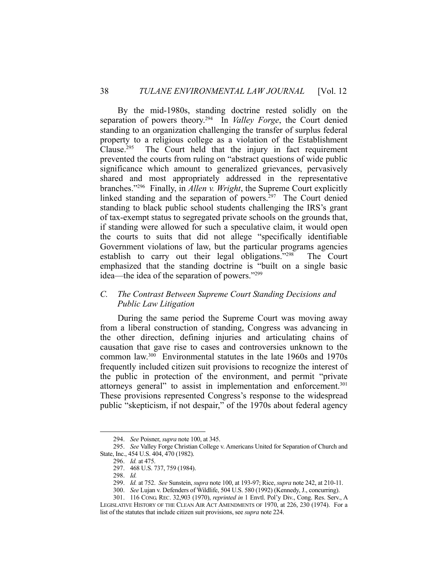By the mid-1980s, standing doctrine rested solidly on the separation of powers theory.294 In *Valley Forge*, the Court denied standing to an organization challenging the transfer of surplus federal property to a religious college as a violation of the Establishment Clause.295 The Court held that the injury in fact requirement prevented the courts from ruling on "abstract questions of wide public significance which amount to generalized grievances, pervasively shared and most appropriately addressed in the representative branches."296 Finally, in *Allen v. Wright*, the Supreme Court explicitly linked standing and the separation of powers.<sup>297</sup> The Court denied standing to black public school students challenging the IRS's grant of tax-exempt status to segregated private schools on the grounds that, if standing were allowed for such a speculative claim, it would open the courts to suits that did not allege "specifically identifiable Government violations of law, but the particular programs agencies establish to carry out their legal obligations."298 The Court emphasized that the standing doctrine is "built on a single basic idea—the idea of the separation of powers."299

# *C. The Contrast Between Supreme Court Standing Decisions and Public Law Litigation*

 During the same period the Supreme Court was moving away from a liberal construction of standing, Congress was advancing in the other direction, defining injuries and articulating chains of causation that gave rise to cases and controversies unknown to the common law.300 Environmental statutes in the late 1960s and 1970s frequently included citizen suit provisions to recognize the interest of the public in protection of the environment, and permit "private attorneys general" to assist in implementation and enforcement.301 These provisions represented Congress's response to the widespread public "skepticism, if not despair," of the 1970s about federal agency

 <sup>294.</sup> *See* Poisner, *supra* note 100, at 345.

 <sup>295.</sup> *See* Valley Forge Christian College v. Americans United for Separation of Church and State, Inc., 454 U.S. 404, 470 (1982).

 <sup>296.</sup> *Id.* at 475.

 <sup>297. 468</sup> U.S. 737, 759 (1984).

 <sup>298.</sup> *Id.*

 <sup>299.</sup> *Id.* at 752. *See* Sunstein, *supra* note 100, at 193-97; Rice, *supra* note 242, at 210-11.

 <sup>300.</sup> *See* Lujan v. Defenders of Wildlife, 504 U.S. 580 (1992) (Kennedy, J., concurring).

 <sup>301. 116</sup> CONG. REC. 32,903 (1970), *reprinted in* 1 Envtl. Pol'y Div., Cong. Res. Serv., A LEGISLATIVE HISTORY OF THE CLEAN AIR ACT AMENDMENTS OF 1970, at 226, 230 (1974). For a list of the statutes that include citizen suit provisions, see *supra* note 224.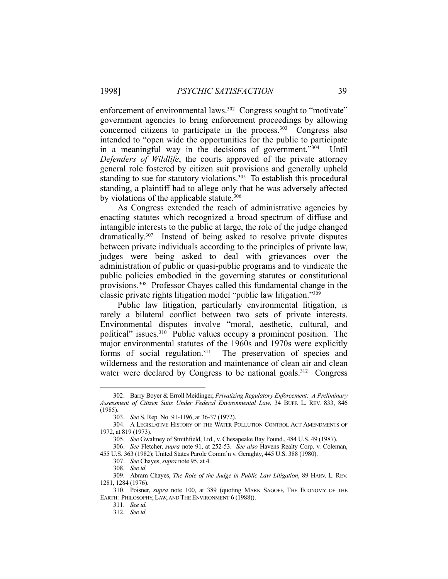enforcement of environmental laws.<sup>302</sup> Congress sought to "motivate" government agencies to bring enforcement proceedings by allowing concerned citizens to participate in the process. $303$  Congress also intended to "open wide the opportunities for the public to participate in a meaningful way in the decisions of government."304 Until *Defenders of Wildlife*, the courts approved of the private attorney general role fostered by citizen suit provisions and generally upheld standing to sue for statutory violations.<sup>305</sup> To establish this procedural standing, a plaintiff had to allege only that he was adversely affected by violations of the applicable statute.<sup>306</sup>

 As Congress extended the reach of administrative agencies by enacting statutes which recognized a broad spectrum of diffuse and intangible interests to the public at large, the role of the judge changed dramatically.307 Instead of being asked to resolve private disputes between private individuals according to the principles of private law, judges were being asked to deal with grievances over the administration of public or quasi-public programs and to vindicate the public policies embodied in the governing statutes or constitutional provisions.308 Professor Chayes called this fundamental change in the classic private rights litigation model "public law litigation."309

 Public law litigation, particularly environmental litigation, is rarely a bilateral conflict between two sets of private interests. Environmental disputes involve "moral, aesthetic, cultural, and political" issues.<sup>310</sup> Public values occupy a prominent position. The major environmental statutes of the 1960s and 1970s were explicitly forms of social regulation.<sup>311</sup> The preservation of species and wilderness and the restoration and maintenance of clean air and clean water were declared by Congress to be national goals.<sup>312</sup> Congress

 <sup>302.</sup> Barry Boyer & Erroll Meidinger, *Privatizing Regulatory Enforcement: A Preliminary Assessment of Citizen Suits Under Federal Environmental Law*, 34 BUFF. L. REV. 833, 846 (1985).

 <sup>303.</sup> *See* S. Rep. No. 91-1196, at 36-37 (1972).

 <sup>304.</sup> A LEGISLATIVE HISTORY OF THE WATER POLLUTION CONTROL ACT AMENDMENTS OF 1972, at 819 (1973).

 <sup>305.</sup> *See* Gwaltney of Smithfield, Ltd., v. Chesapeake Bay Found., 484 U.S. 49 (1987).

 <sup>306.</sup> *See* Fletcher, *supra* note 91, at 252-53. *See also* Havens Realty Corp. v. Coleman, 455 U.S. 363 (1982); United States Parole Comm'n v. Geraghty, 445 U.S. 388 (1980).

 <sup>307.</sup> *See* Chayes, *supra* note 95, at 4.

 <sup>308.</sup> *See id.*

 <sup>309.</sup> Abram Chayes, *The Role of the Judge in Public Law Litigation*, 89 HARV. L. REV. 1281, 1284 (1976).

 <sup>310.</sup> Poisner, *supra* note 100, at 389 (quoting MARK SAGOFF, THE ECONOMY OF THE EARTH: PHILOSOPHY, LAW, AND THE ENVIRONMENT 6 (1988)).

 <sup>311.</sup> *See id.*

 <sup>312.</sup> *See id.*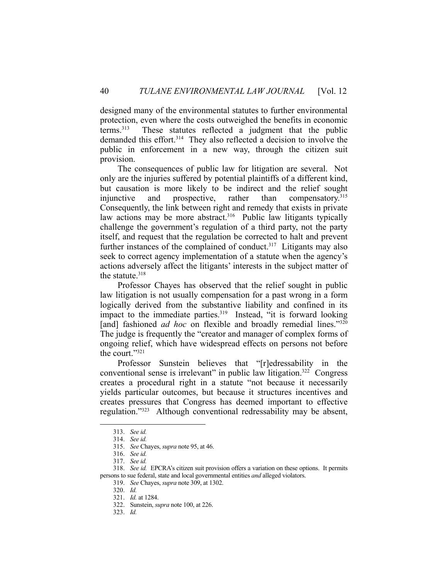designed many of the environmental statutes to further environmental protection, even where the costs outweighed the benefits in economic terms.313 These statutes reflected a judgment that the public demanded this effort.<sup>314</sup> They also reflected a decision to involve the public in enforcement in a new way, through the citizen suit provision.

 The consequences of public law for litigation are several. Not only are the injuries suffered by potential plaintiffs of a different kind, but causation is more likely to be indirect and the relief sought injunctive and prospective, rather than compensatory.315 Consequently, the link between right and remedy that exists in private law actions may be more abstract.<sup>316</sup> Public law litigants typically challenge the government's regulation of a third party, not the party itself, and request that the regulation be corrected to halt and prevent further instances of the complained of conduct.<sup>317</sup> Litigants may also seek to correct agency implementation of a statute when the agency's actions adversely affect the litigants' interests in the subject matter of the statute.<sup>318</sup>

 Professor Chayes has observed that the relief sought in public law litigation is not usually compensation for a past wrong in a form logically derived from the substantive liability and confined in its impact to the immediate parties.<sup>319</sup> Instead, "it is forward looking [and] fashioned *ad hoc* on flexible and broadly remedial lines."320 The judge is frequently the "creator and manager of complex forms of ongoing relief, which have widespread effects on persons not before the court."321

 Professor Sunstein believes that "[r]edressability in the conventional sense is irrelevant" in public law litigation.322 Congress creates a procedural right in a statute "not because it necessarily yields particular outcomes, but because it structures incentives and creates pressures that Congress has deemed important to effective regulation."323 Although conventional redressability may be absent,

 <sup>313.</sup> *See id.*

 <sup>314.</sup> *See id.*

 <sup>315.</sup> *See* Chayes, *supra* note 95, at 46.

 <sup>316.</sup> *See id.*

 <sup>317.</sup> *See id.*

 <sup>318.</sup> *See id.* EPCRA's citizen suit provision offers a variation on these options. It permits persons to sue federal, state and local governmental entities *and* alleged violators.

 <sup>319.</sup> *See* Chayes, *supra* note 309, at 1302.

 <sup>320.</sup> *Id.*

 <sup>321.</sup> *Id.* at 1284.

 <sup>322.</sup> Sunstein, *supra* note 100, at 226.

 <sup>323.</sup> *Id.*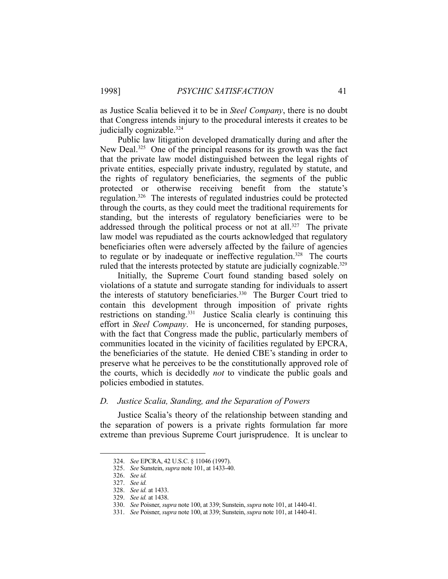as Justice Scalia believed it to be in *Steel Company*, there is no doubt that Congress intends injury to the procedural interests it creates to be judicially cognizable.<sup>324</sup>

 Public law litigation developed dramatically during and after the New Deal.<sup>325</sup> One of the principal reasons for its growth was the fact that the private law model distinguished between the legal rights of private entities, especially private industry, regulated by statute, and the rights of regulatory beneficiaries, the segments of the public protected or otherwise receiving benefit from the statute's regulation.326 The interests of regulated industries could be protected through the courts, as they could meet the traditional requirements for standing, but the interests of regulatory beneficiaries were to be addressed through the political process or not at all.<sup>327</sup> The private law model was repudiated as the courts acknowledged that regulatory beneficiaries often were adversely affected by the failure of agencies to regulate or by inadequate or ineffective regulation.<sup>328</sup> The courts ruled that the interests protected by statute are judicially cognizable.<sup>329</sup>

 Initially, the Supreme Court found standing based solely on violations of a statute and surrogate standing for individuals to assert the interests of statutory beneficiaries.330 The Burger Court tried to contain this development through imposition of private rights restrictions on standing.<sup>331</sup> Justice Scalia clearly is continuing this effort in *Steel Company*. He is unconcerned, for standing purposes, with the fact that Congress made the public, particularly members of communities located in the vicinity of facilities regulated by EPCRA, the beneficiaries of the statute. He denied CBE's standing in order to preserve what he perceives to be the constitutionally approved role of the courts, which is decidedly *not* to vindicate the public goals and policies embodied in statutes.

#### *D. Justice Scalia, Standing, and the Separation of Powers*

 Justice Scalia's theory of the relationship between standing and the separation of powers is a private rights formulation far more extreme than previous Supreme Court jurisprudence. It is unclear to

 <sup>324.</sup> *See* EPCRA, 42 U.S.C. § 11046 (1997).

 <sup>325.</sup> *See* Sunstein, *supra* note 101, at 1433-40.

 <sup>326.</sup> *See id.*

 <sup>327.</sup> *See id.*

 <sup>328.</sup> *See id.* at 1433.

 <sup>329.</sup> *See id.* at 1438.

 <sup>330.</sup> *See* Poisner, *supra* note 100, at 339; Sunstein, *supra* note 101, at 1440-41.

 <sup>331.</sup> *See* Poisner, *supra* note 100, at 339; Sunstein, *supra* note 101, at 1440-41.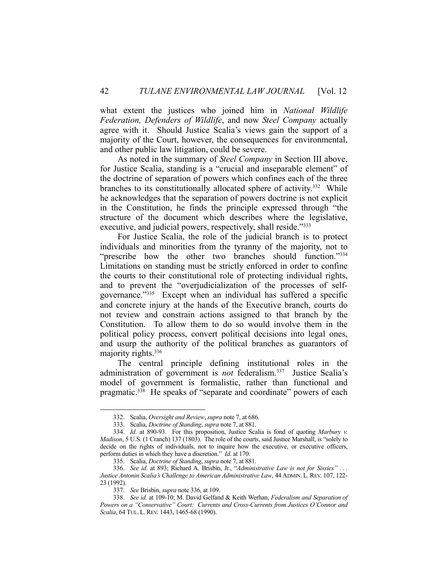what extent the justices who joined him in *National Wildlife Federation, Defenders of Wildlife*, and now *Steel Company* actually agree with it. Should Justice Scalia's views gain the support of a majority of the Court, however, the consequences for environmental, and other public law litigation, could be severe.

 As noted in the summary of *Steel Company* in Section III above, for Justice Scalia, standing is a "crucial and inseparable element" of the doctrine of separation of powers which confines each of the three branches to its constitutionally allocated sphere of activity.<sup>332</sup> While he acknowledges that the separation of powers doctrine is not explicit in the Constitution, he finds the principle expressed through "the structure of the document which describes where the legislative, executive, and judicial powers, respectively, shall reside."<sup>333</sup>

 For Justice Scalia, the role of the judicial branch is to protect individuals and minorities from the tyranny of the majority, not to "prescribe how the other two branches should function."334 Limitations on standing must be strictly enforced in order to confine the courts to their constitutional role of protecting individual rights, and to prevent the "overjudicialization of the processes of selfgovernance."335 Except when an individual has suffered a specific and concrete injury at the hands of the Executive branch, courts do not review and constrain actions assigned to that branch by the Constitution. To allow them to do so would involve them in the political policy process, convert political decisions into legal ones, and usurp the authority of the political branches as guarantors of majority rights.<sup>336</sup>

 The central principle defining institutional roles in the administration of government is *not* federalism.337 Justice Scalia's model of government is formalistic, rather than functional and pragmatic.<sup>338</sup> He speaks of "separate and coordinate" powers of each

 <sup>332.</sup> Scalia, *Oversight and Review*, *supra* note 7, at 686.

 <sup>333.</sup> Scalia, *Doctrine of Standing*, *supra* note 7, at 881.

 <sup>334.</sup> *Id.* at 890-93. For this proposition, Justice Scalia is fond of quoting *Marbury v. Madison*, 5 U.S. (1 Cranch) 137 (1803). The role of the courts, said Justice Marshall, is "solely to decide on the rights of individuals, not to inquire how the executive, or executive officers, perform duties in which they have a discretion." *Id*. at 170.

 <sup>335.</sup> Scalia, *Doctrine of Standing*, *supra* note 7, at 881.

 <sup>336.</sup> *See id.* at 893; Richard A. Brisbin, Jr., "*Administrative Law is not for Sissies" . . . Justice Antonin Scalia's Challenge to American Administrative Law*, 44 ADMIN. L. REV. 107, 122- 23 (1992).

 <sup>337.</sup> *See* Brisbin, *supra* note 336, at 109.

 <sup>338.</sup> *See id.* at 109-10; M. David Gelfand & Keith Werhan, *Federalism and Separation of Powers on a "Conservative" Court: Currents and Cross-Currents from Justices O'Connor and Scalia*, 64 TUL. L.REV. 1443, 1465-68 (1990).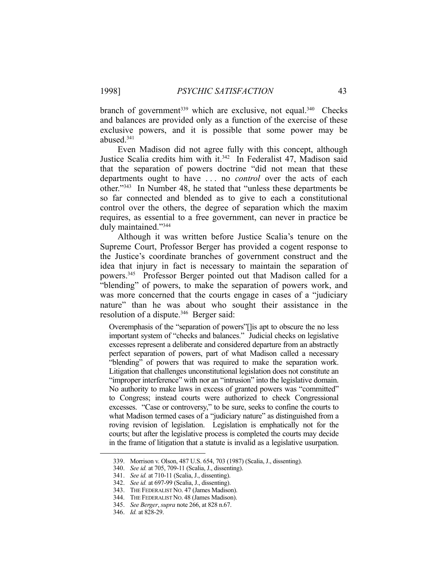branch of government<sup>339</sup> which are exclusive, not equal.<sup>340</sup> Checks and balances are provided only as a function of the exercise of these exclusive powers, and it is possible that some power may be abused.341

 Even Madison did not agree fully with this concept, although Justice Scalia credits him with it.<sup>342</sup> In Federalist 47, Madison said that the separation of powers doctrine "did not mean that these departments ought to have . . . no *control* over the acts of each other."343 In Number 48, he stated that "unless these departments be so far connected and blended as to give to each a constitutional control over the others, the degree of separation which the maxim requires, as essential to a free government, can never in practice be duly maintained."344

 Although it was written before Justice Scalia's tenure on the Supreme Court, Professor Berger has provided a cogent response to the Justice's coordinate branches of government construct and the idea that injury in fact is necessary to maintain the separation of powers.345 Professor Berger pointed out that Madison called for a "blending" of powers, to make the separation of powers work, and was more concerned that the courts engage in cases of a "judiciary nature" than he was about who sought their assistance in the resolution of a dispute.<sup>346</sup> Berger said:

Overemphasis of the "separation of powers"[]is apt to obscure the no less important system of "checks and balances." Judicial checks on legislative excesses represent a deliberate and considered departure from an abstractly perfect separation of powers, part of what Madison called a necessary "blending" of powers that was required to make the separation work. Litigation that challenges unconstitutional legislation does not constitute an "improper interference" with nor an "intrusion" into the legislative domain. No authority to make laws in excess of granted powers was "committed" to Congress; instead courts were authorized to check Congressional excesses. "Case or controversy," to be sure, seeks to confine the courts to what Madison termed cases of a "judiciary nature" as distinguished from a roving revision of legislation. Legislation is emphatically not for the courts; but after the legislative process is completed the courts may decide in the frame of litigation that a statute is invalid as a legislative usurpation.

 <sup>339.</sup> Morrison v. Olson, 487 U.S. 654, 703 (1987) (Scalia, J., dissenting).

 <sup>340.</sup> *See id.* at 705, 709-11 (Scalia, J., dissenting).

 <sup>341.</sup> *See id.* at 710-11 (Scalia, J., dissenting).

 <sup>342.</sup> *See id.* at 697-99 (Scalia, J., dissenting).

 <sup>343.</sup> THE FEDERALIST NO. 47 (James Madison).

 <sup>344.</sup> THE FEDERALIST NO. 48 (James Madison).

 <sup>345.</sup> *See Berger*, *supra* note 266, at 828 n.67.

 <sup>346.</sup> *Id.* at 828-29.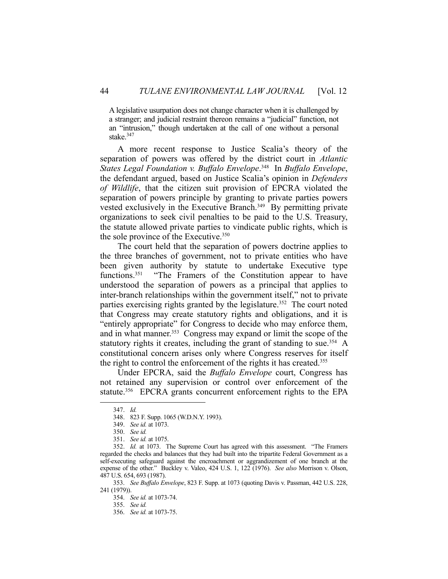A legislative usurpation does not change character when it is challenged by a stranger; and judicial restraint thereon remains a "judicial" function, not an "intrusion," though undertaken at the call of one without a personal stake.<sup>347</sup>

 A more recent response to Justice Scalia's theory of the separation of powers was offered by the district court in *Atlantic States Legal Foundation v. Buffalo Envelope*. 348 In *Buffalo Envelope*, the defendant argued, based on Justice Scalia's opinion in *Defenders of Wildlife*, that the citizen suit provision of EPCRA violated the separation of powers principle by granting to private parties powers vested exclusively in the Executive Branch.<sup>349</sup> By permitting private organizations to seek civil penalties to be paid to the U.S. Treasury, the statute allowed private parties to vindicate public rights, which is the sole province of the Executive.<sup>350</sup>

 The court held that the separation of powers doctrine applies to the three branches of government, not to private entities who have been given authority by statute to undertake Executive type functions.<sup>351</sup> "The Framers of the Constitution appear to have understood the separation of powers as a principal that applies to inter-branch relationships within the government itself," not to private parties exercising rights granted by the legislature.<sup>352</sup> The court noted that Congress may create statutory rights and obligations, and it is "entirely appropriate" for Congress to decide who may enforce them, and in what manner.<sup>353</sup> Congress may expand or limit the scope of the statutory rights it creates, including the grant of standing to sue.<sup>354</sup> A constitutional concern arises only where Congress reserves for itself the right to control the enforcement of the rights it has created.355

 Under EPCRA, said the *Buffalo Envelope* court, Congress has not retained any supervision or control over enforcement of the statute.356 EPCRA grants concurrent enforcement rights to the EPA

 <sup>347.</sup> *Id.*

 <sup>348. 823</sup> F. Supp. 1065 (W.D.N.Y. 1993).

 <sup>349.</sup> *See id.* at 1073.

 <sup>350.</sup> *See id.*

 <sup>351.</sup> *See id.* at 1075.

 <sup>352.</sup> *Id.* at 1073. The Supreme Court has agreed with this assessment. "The Framers regarded the checks and balances that they had built into the tripartite Federal Government as a self-executing safeguard against the encroachment or aggrandizement of one branch at the expense of the other." Buckley v. Valeo, 424 U.S. 1, 122 (1976). *See also* Morrison v. Olson, 487 U.S. 654, 693 (1987).

 <sup>353.</sup> *See Buffalo Envelope*, 823 F. Supp. at 1073 (quoting Davis v. Passman, 442 U.S. 228, 241 (1979)).

 <sup>354.</sup> *See id.* at 1073-74.

 <sup>355.</sup> *See id.*

 <sup>356.</sup> *See id.* at 1073-75.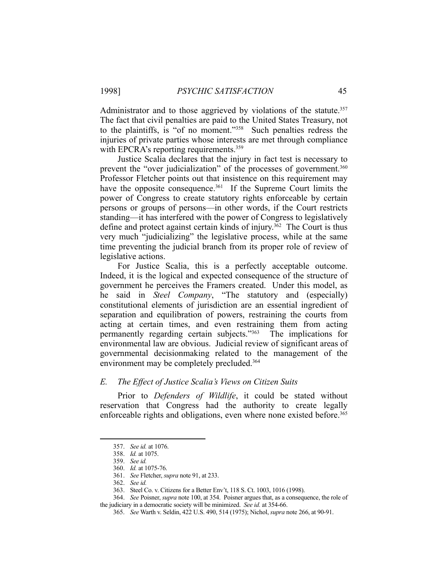Administrator and to those aggrieved by violations of the statute.<sup>357</sup> The fact that civil penalties are paid to the United States Treasury, not to the plaintiffs, is "of no moment."358 Such penalties redress the injuries of private parties whose interests are met through compliance with EPCRA's reporting requirements.<sup>359</sup>

 Justice Scalia declares that the injury in fact test is necessary to prevent the "over judicialization" of the processes of government.<sup>360</sup> Professor Fletcher points out that insistence on this requirement may have the opposite consequence.<sup>361</sup> If the Supreme Court limits the power of Congress to create statutory rights enforceable by certain persons or groups of persons—in other words, if the Court restricts standing—it has interfered with the power of Congress to legislatively define and protect against certain kinds of injury.362 The Court is thus very much "judicializing" the legislative process, while at the same time preventing the judicial branch from its proper role of review of legislative actions.

 For Justice Scalia, this is a perfectly acceptable outcome. Indeed, it is the logical and expected consequence of the structure of government he perceives the Framers created. Under this model, as he said in *Steel Company*, "The statutory and (especially) constitutional elements of jurisdiction are an essential ingredient of separation and equilibration of powers, restraining the courts from acting at certain times, and even restraining them from acting permanently regarding certain subjects."363 The implications for environmental law are obvious. Judicial review of significant areas of governmental decisionmaking related to the management of the environment may be completely precluded.<sup>364</sup>

# *E. The Effect of Justice Scalia's Views on Citizen Suits*

 Prior to *Defenders of Wildlife*, it could be stated without reservation that Congress had the authority to create legally enforceable rights and obligations, even where none existed before.<sup>365</sup>

 <sup>357.</sup> *See id.* at 1076.

 <sup>358.</sup> *Id.* at 1075.

 <sup>359.</sup> *See id.*

 <sup>360.</sup> *Id.* at 1075-76.

 <sup>361.</sup> *See* Fletcher, *supra* note 91, at 233.

 <sup>362.</sup> *See id.*

 <sup>363.</sup> Steel Co. v. Citizens for a Better Env't, 118 S. Ct. 1003, 1016 (1998).

 <sup>364.</sup> *See* Poisner, *supra* note 100, at 354. Poisner argues that, as a consequence, the role of the judiciary in a democratic society will be minimized. *See id.* at 354-66.

 <sup>365.</sup> *See* Warth v. Seldin, 422 U.S. 490, 514 (1975); Nichol, *supra* note 266, at 90-91.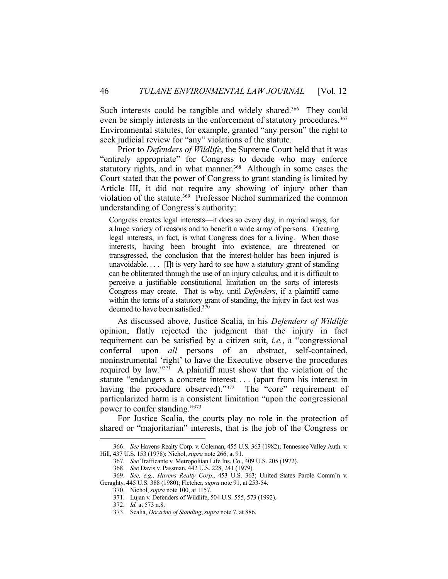Such interests could be tangible and widely shared.<sup>366</sup> They could even be simply interests in the enforcement of statutory procedures.<sup>367</sup> Environmental statutes, for example, granted "any person" the right to seek judicial review for "any" violations of the statute.

 Prior to *Defenders of Wildlife*, the Supreme Court held that it was "entirely appropriate" for Congress to decide who may enforce statutory rights, and in what manner.<sup>368</sup> Although in some cases the Court stated that the power of Congress to grant standing is limited by Article III, it did not require any showing of injury other than violation of the statute.<sup>369</sup> Professor Nichol summarized the common understanding of Congress's authority:

Congress creates legal interests—it does so every day, in myriad ways, for a huge variety of reasons and to benefit a wide array of persons. Creating legal interests, in fact, is what Congress does for a living. When those interests, having been brought into existence, are threatened or transgressed, the conclusion that the interest-holder has been injured is unavoidable....  $[1]$ t is very hard to see how a statutory grant of standing can be obliterated through the use of an injury calculus, and it is difficult to perceive a justifiable constitutional limitation on the sorts of interests Congress may create. That is why, until *Defenders*, if a plaintiff came within the terms of a statutory grant of standing, the injury in fact test was deemed to have been satisfied. $370$ 

 As discussed above, Justice Scalia, in his *Defenders of Wildlife* opinion, flatly rejected the judgment that the injury in fact requirement can be satisfied by a citizen suit, *i.e.*, a "congressional conferral upon *all* persons of an abstract, self-contained, noninstrumental 'right' to have the Executive observe the procedures required by law." $37\overline{1}$  A plaintiff must show that the violation of the statute "endangers a concrete interest . . . (apart from his interest in having the procedure observed)."<sup>372</sup> The "core" requirement of particularized harm is a consistent limitation "upon the congressional power to confer standing."373

 For Justice Scalia, the courts play no role in the protection of shared or "majoritarian" interests, that is the job of the Congress or

 <sup>366.</sup> *See* Havens Realty Corp. v. Coleman, 455 U.S. 363 (1982); Tennessee Valley Auth. v. Hill, 437 U.S. 153 (1978); Nichol, *supra* note 266, at 91.

 <sup>367.</sup> *See* Trafficante v. Metropolitan Life Ins. Co., 409 U.S. 205 (1972).

 <sup>368.</sup> *See* Davis v. Passman, 442 U.S. 228, 241 (1979).

 <sup>369.</sup> *See, e.g.*, *Havens Realty Corp.*, 453 U.S. 363; United States Parole Comm'n v. Geraghty, 445 U.S. 388 (1980); Fletcher, *supra* note 91, at 253-54.

 <sup>370.</sup> Nichol, *supra* note 100, at 1157.

 <sup>371.</sup> Lujan v. Defenders of Wildlife, 504 U.S. 555, 573 (1992).

 <sup>372.</sup> *Id.* at 573 n.8.

 <sup>373.</sup> Scalia, *Doctrine of Standing*, *supra* note 7, at 886.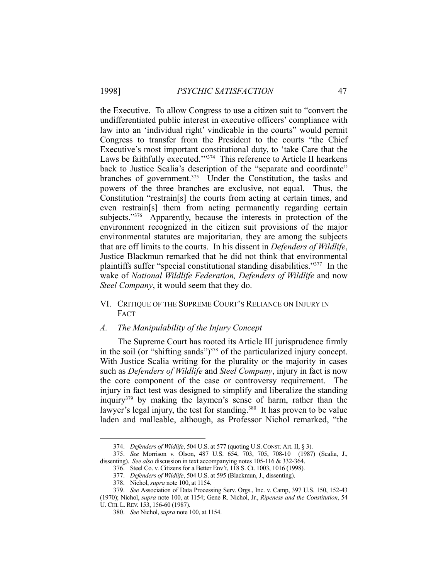the Executive. To allow Congress to use a citizen suit to "convert the undifferentiated public interest in executive officers' compliance with law into an 'individual right' vindicable in the courts" would permit Congress to transfer from the President to the courts "the Chief Executive's most important constitutional duty, to 'take Care that the Laws be faithfully executed."<sup>374</sup> This reference to Article II hearkens back to Justice Scalia's description of the "separate and coordinate" branches of government.<sup>375</sup> Under the Constitution, the tasks and powers of the three branches are exclusive, not equal. Thus, the Constitution "restrain[s] the courts from acting at certain times, and even restrain[s] them from acting permanently regarding certain subjects."<sup>376</sup> Apparently, because the interests in protection of the environment recognized in the citizen suit provisions of the major environmental statutes are majoritarian, they are among the subjects that are off limits to the courts. In his dissent in *Defenders of Wildlife*, Justice Blackmun remarked that he did not think that environmental plaintiffs suffer "special constitutional standing disabilities."377 In the wake of *National Wildlife Federation, Defenders of Wildlife* and now *Steel Company*, it would seem that they do.

# VI. CRITIQUE OF THE SUPREME COURT'S RELIANCE ON INJURY IN **FACT**

#### *A. The Manipulability of the Injury Concept*

 The Supreme Court has rooted its Article III jurisprudence firmly in the soil (or "shifting sands") $378$  of the particularized injury concept. With Justice Scalia writing for the plurality or the majority in cases such as *Defenders of Wildlife* and *Steel Company*, injury in fact is now the core component of the case or controversy requirement. The injury in fact test was designed to simplify and liberalize the standing inquiry379 by making the laymen's sense of harm, rather than the lawyer's legal injury, the test for standing.<sup>380</sup> It has proven to be value laden and malleable, although, as Professor Nichol remarked, "the

 <sup>374.</sup> *Defenders of Wildlife*, 504 U.S. at 577 (quoting U.S.CONST. Art. II, § 3).

 <sup>375.</sup> *See* Morrison v. Olson, 487 U.S. 654, 703, 705, 708-10 (1987) (Scalia, J., dissenting). *See also* discussion in text accompanying notes 105-116 & 332-364.

 <sup>376.</sup> Steel Co. v. Citizens for a Better Env't, 118 S. Ct. 1003, 1016 (1998).

 <sup>377.</sup> *Defenders of Wildlife*, 504 U.S. at 595 (Blackmun, J., dissenting).

 <sup>378.</sup> Nichol, *supra* note 100, at 1154.

 <sup>379.</sup> *See* Association of Data Processing Serv. Orgs., Inc. v. Camp, 397 U.S. 150, 152-43

<sup>(1970);</sup> Nichol, *supra* note 100, at 1154; Gene R. Nichol, Jr., *Ripeness and the Constitution*, 54 U. CHI. L.REV. 153, 156-60 (1987).

 <sup>380.</sup> *See* Nichol, *supra* note 100, at 1154.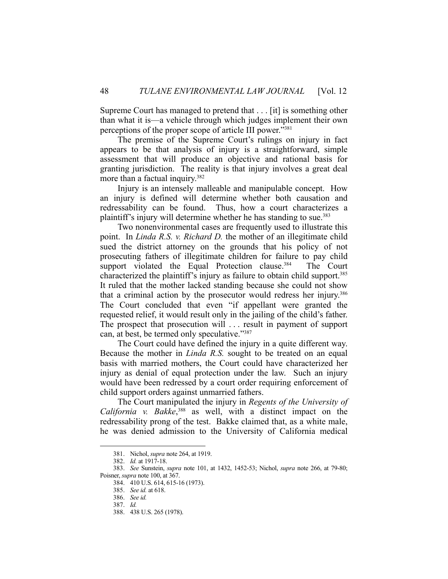Supreme Court has managed to pretend that . . . [it] is something other than what it is—a vehicle through which judges implement their own perceptions of the proper scope of article III power."381

 The premise of the Supreme Court's rulings on injury in fact appears to be that analysis of injury is a straightforward, simple assessment that will produce an objective and rational basis for granting jurisdiction. The reality is that injury involves a great deal more than a factual inquiry.<sup>382</sup>

 Injury is an intensely malleable and manipulable concept. How an injury is defined will determine whether both causation and redressability can be found. Thus, how a court characterizes a plaintiff's injury will determine whether he has standing to sue.383

 Two nonenvironmental cases are frequently used to illustrate this point. In *Linda R.S. v. Richard D.* the mother of an illegitimate child sued the district attorney on the grounds that his policy of not prosecuting fathers of illegitimate children for failure to pay child support violated the Equal Protection clause.<sup>384</sup> The Court characterized the plaintiff's injury as failure to obtain child support.385 It ruled that the mother lacked standing because she could not show that a criminal action by the prosecutor would redress her injury.386 The Court concluded that even "if appellant were granted the requested relief, it would result only in the jailing of the child's father. The prospect that prosecution will . . . result in payment of support can, at best, be termed only speculative."387

 The Court could have defined the injury in a quite different way. Because the mother in *Linda R.S.* sought to be treated on an equal basis with married mothers, the Court could have characterized her injury as denial of equal protection under the law. Such an injury would have been redressed by a court order requiring enforcement of child support orders against unmarried fathers.

 The Court manipulated the injury in *Regents of the University of California v. Bakke*, <sup>388</sup> as well, with a distinct impact on the redressability prong of the test. Bakke claimed that, as a white male, he was denied admission to the University of California medical

 <sup>381.</sup> Nichol, *supra* note 264, at 1919.

 <sup>382.</sup> *Id.* at 1917-18.

 <sup>383.</sup> *See* Sunstein, *supra* note 101, at 1432, 1452-53; Nichol, *supra* note 266, at 79-80; Poisner, *supra* note 100, at 367.

 <sup>384. 410</sup> U.S. 614, 615-16 (1973).

 <sup>385.</sup> *See id.* at 618.

 <sup>386.</sup> *See id.*

 <sup>387.</sup> *Id.*

 <sup>388. 438</sup> U.S. 265 (1978).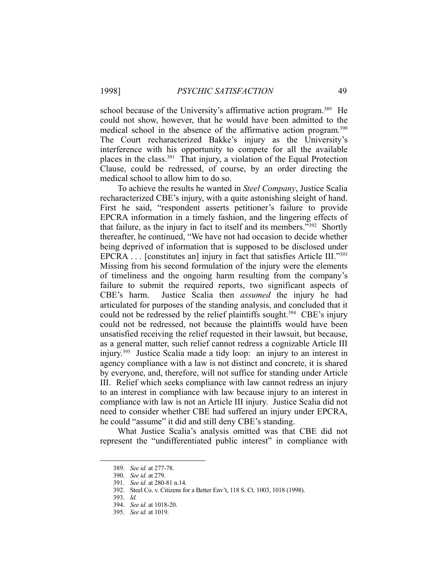school because of the University's affirmative action program.<sup>389</sup> He could not show, however, that he would have been admitted to the medical school in the absence of the affirmative action program. 390 The Court recharacterized Bakke's injury as the University's interference with his opportunity to compete for all the available places in the class.<sup>391</sup> That injury, a violation of the Equal Protection Clause, could be redressed, of course, by an order directing the medical school to allow him to do so.

 To achieve the results he wanted in *Steel Company*, Justice Scalia recharacterized CBE's injury, with a quite astonishing sleight of hand. First he said, "respondent asserts petitioner's failure to provide EPCRA information in a timely fashion, and the lingering effects of that failure, as the injury in fact to itself and its members."392 Shortly thereafter, he continued, "We have not had occasion to decide whether being deprived of information that is supposed to be disclosed under EPCRA . . . [constitutes an] injury in fact that satisfies Article III."393 Missing from his second formulation of the injury were the elements of timeliness and the ongoing harm resulting from the company's failure to submit the required reports, two significant aspects of CBE's harm. Justice Scalia then *assumed* the injury he had articulated for purposes of the standing analysis, and concluded that it could not be redressed by the relief plaintiffs sought.<sup>394</sup> CBE's injury could not be redressed, not because the plaintiffs would have been unsatisfied receiving the relief requested in their lawsuit, but because, as a general matter, such relief cannot redress a cognizable Article III injury.395 Justice Scalia made a tidy loop: an injury to an interest in agency compliance with a law is not distinct and concrete, it is shared by everyone, and, therefore, will not suffice for standing under Article III. Relief which seeks compliance with law cannot redress an injury to an interest in compliance with law because injury to an interest in compliance with law is not an Article III injury. Justice Scalia did not need to consider whether CBE had suffered an injury under EPCRA, he could "assume" it did and still deny CBE's standing.

 What Justice Scalia's analysis omitted was that CBE did not represent the "undifferentiated public interest" in compliance with

 <sup>389.</sup> *See id.* at 277-78.

 <sup>390.</sup> *See id.* at 279.

 <sup>391.</sup> *See id.* at 280-81 n.14.

 <sup>392.</sup> Steel Co. v. Citizens for a Better Env't, 118 S. Ct. 1003, 1018 (1998).

 <sup>393.</sup> *Id.*

 <sup>394.</sup> *See id.* at 1018-20.

 <sup>395.</sup> *See id.* at 1019.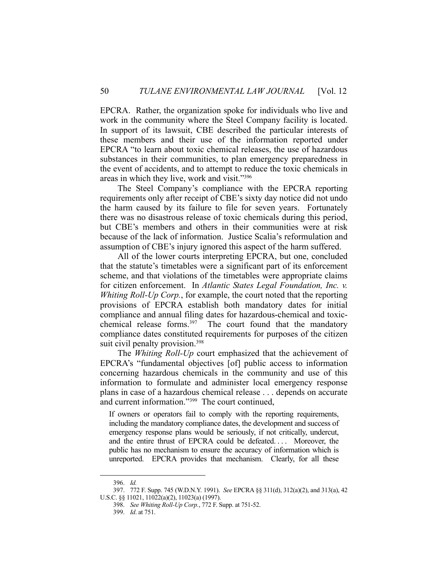EPCRA. Rather, the organization spoke for individuals who live and work in the community where the Steel Company facility is located. In support of its lawsuit, CBE described the particular interests of these members and their use of the information reported under EPCRA "to learn about toxic chemical releases, the use of hazardous substances in their communities, to plan emergency preparedness in the event of accidents, and to attempt to reduce the toxic chemicals in areas in which they live, work and visit."396

 The Steel Company's compliance with the EPCRA reporting requirements only after receipt of CBE's sixty day notice did not undo the harm caused by its failure to file for seven years. Fortunately there was no disastrous release of toxic chemicals during this period, but CBE's members and others in their communities were at risk because of the lack of information. Justice Scalia's reformulation and assumption of CBE's injury ignored this aspect of the harm suffered.

 All of the lower courts interpreting EPCRA, but one, concluded that the statute's timetables were a significant part of its enforcement scheme, and that violations of the timetables were appropriate claims for citizen enforcement. In *Atlantic States Legal Foundation, Inc. v. Whiting Roll-Up Corp.*, for example, the court noted that the reporting provisions of EPCRA establish both mandatory dates for initial compliance and annual filing dates for hazardous-chemical and toxicchemical release forms.<sup>397</sup> The court found that the mandatory compliance dates constituted requirements for purposes of the citizen suit civil penalty provision.<sup>398</sup>

 The *Whiting Roll-Up* court emphasized that the achievement of EPCRA's "fundamental objectives [of] public access to information concerning hazardous chemicals in the community and use of this information to formulate and administer local emergency response plans in case of a hazardous chemical release . . . depends on accurate and current information."399 The court continued,

If owners or operators fail to comply with the reporting requirements, including the mandatory compliance dates, the development and success of emergency response plans would be seriously, if not critically, undercut, and the entire thrust of EPCRA could be defeated.... Moreover, the public has no mechanism to ensure the accuracy of information which is unreported. EPCRA provides that mechanism. Clearly, for all these

 <sup>396.</sup> *Id.*

 <sup>397. 772</sup> F. Supp. 745 (W.D.N.Y. 1991). *See* EPCRA §§ 311(d), 312(a)(2), and 313(a), 42 U.S.C. §§ 11021, 11022(a)(2), 11023(a) (1997).

 <sup>398.</sup> *See Whiting Roll-Up Corp.*, 772 F. Supp. at 751-52.

 <sup>399.</sup> *Id*. at 751.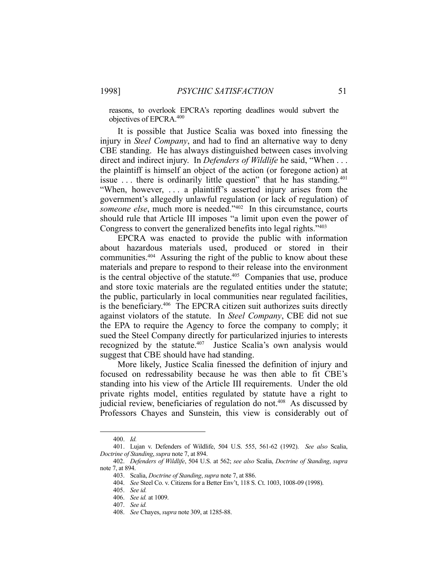reasons, to overlook EPCRA's reporting deadlines would subvert the objectives of EPCRA.400

 It is possible that Justice Scalia was boxed into finessing the injury in *Steel Company*, and had to find an alternative way to deny CBE standing. He has always distinguished between cases involving direct and indirect injury. In *Defenders of Wildlife* he said, "When . . . the plaintiff is himself an object of the action (or foregone action) at issue  $\dots$  there is ordinarily little question" that he has standing.<sup>401</sup> "When, however, . . . a plaintiff's asserted injury arises from the government's allegedly unlawful regulation (or lack of regulation) of *someone else*, much more is needed."402 In this circumstance, courts should rule that Article III imposes "a limit upon even the power of Congress to convert the generalized benefits into legal rights."403

 EPCRA was enacted to provide the public with information about hazardous materials used, produced or stored in their communities.404 Assuring the right of the public to know about these materials and prepare to respond to their release into the environment is the central objective of the statute. $405$  Companies that use, produce and store toxic materials are the regulated entities under the statute; the public, particularly in local communities near regulated facilities, is the beneficiary.406 The EPCRA citizen suit authorizes suits directly against violators of the statute. In *Steel Company*, CBE did not sue the EPA to require the Agency to force the company to comply; it sued the Steel Company directly for particularized injuries to interests recognized by the statute.<sup>407</sup> Justice Scalia's own analysis would suggest that CBE should have had standing.

 More likely, Justice Scalia finessed the definition of injury and focused on redressability because he was then able to fit CBE's standing into his view of the Article III requirements. Under the old private rights model, entities regulated by statute have a right to judicial review, beneficiaries of regulation do not.408 As discussed by Professors Chayes and Sunstein, this view is considerably out of

 <sup>400.</sup> *Id.*

 <sup>401.</sup> Lujan v. Defenders of Wildlife, 504 U.S. 555, 561-62 (1992). *See also* Scalia, *Doctrine of Standing*, *supra* note 7, at 894.

 <sup>402.</sup> *Defenders of Wildlife*, 504 U.S. at 562; *see also* Scalia, *Doctrine of Standing*, *supra* note 7, at 894.

 <sup>403.</sup> Scalia, *Doctrine of Standing*, *supra* note 7, at 886.

 <sup>404.</sup> *See* Steel Co. v. Citizens for a Better Env't, 118 S. Ct. 1003, 1008-09 (1998).

 <sup>405.</sup> *See id.*

 <sup>406.</sup> *See id.* at 1009.

 <sup>407.</sup> *See id.*

 <sup>408.</sup> *See* Chayes, *supra* note 309, at 1285-88.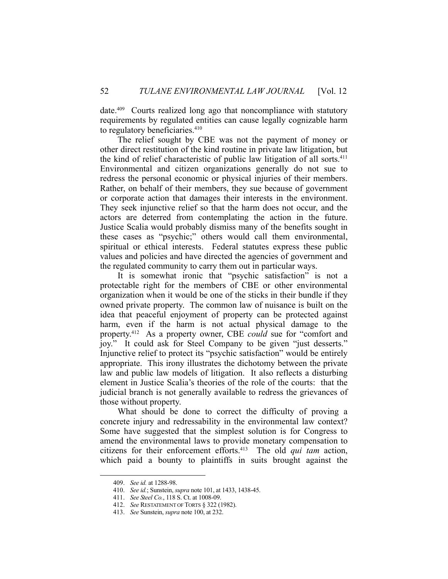date.409 Courts realized long ago that noncompliance with statutory requirements by regulated entities can cause legally cognizable harm to regulatory beneficiaries.<sup>410</sup>

 The relief sought by CBE was not the payment of money or other direct restitution of the kind routine in private law litigation, but the kind of relief characteristic of public law litigation of all sorts.<sup>411</sup> Environmental and citizen organizations generally do not sue to redress the personal economic or physical injuries of their members. Rather, on behalf of their members, they sue because of government or corporate action that damages their interests in the environment. They seek injunctive relief so that the harm does not occur, and the actors are deterred from contemplating the action in the future. Justice Scalia would probably dismiss many of the benefits sought in these cases as "psychic;" others would call them environmental, spiritual or ethical interests. Federal statutes express these public values and policies and have directed the agencies of government and the regulated community to carry them out in particular ways.

 It is somewhat ironic that "psychic satisfaction" is not a protectable right for the members of CBE or other environmental organization when it would be one of the sticks in their bundle if they owned private property. The common law of nuisance is built on the idea that peaceful enjoyment of property can be protected against harm, even if the harm is not actual physical damage to the property.412 As a property owner, CBE *could* sue for "comfort and joy." It could ask for Steel Company to be given "just desserts." Injunctive relief to protect its "psychic satisfaction" would be entirely appropriate. This irony illustrates the dichotomy between the private law and public law models of litigation. It also reflects a disturbing element in Justice Scalia's theories of the role of the courts: that the judicial branch is not generally available to redress the grievances of those without property.

 What should be done to correct the difficulty of proving a concrete injury and redressability in the environmental law context? Some have suggested that the simplest solution is for Congress to amend the environmental laws to provide monetary compensation to citizens for their enforcement efforts.413 The old *qui tam* action, which paid a bounty to plaintiffs in suits brought against the

 <sup>409.</sup> *See id.* at 1288-98.

 <sup>410.</sup> *See id.*; Sunstein, *supra* note 101, at 1433, 1438-45.

 <sup>411.</sup> *See Steel Co.*, 118 S. Ct. at 1008-09.

 <sup>412.</sup> *See* RESTATEMENT OF TORTS § 322 (1982).

 <sup>413.</sup> *See* Sunstein, *supra* note 100, at 232.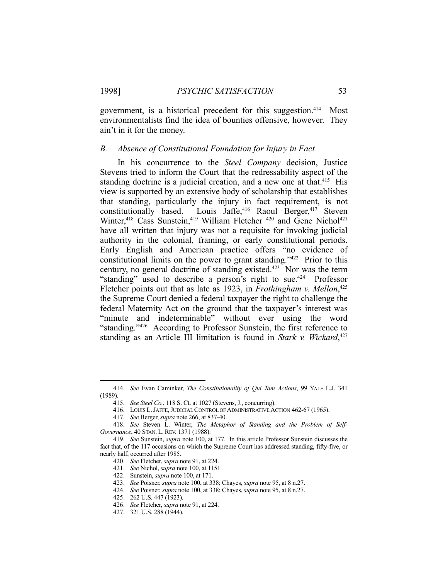government, is a historical precedent for this suggestion.<sup>414</sup> Most environmentalists find the idea of bounties offensive, however. They ain't in it for the money.

#### *B. Absence of Constitutional Foundation for Injury in Fact*

 In his concurrence to the *Steel Company* decision, Justice Stevens tried to inform the Court that the redressability aspect of the standing doctrine is a judicial creation, and a new one at that.<sup>415</sup> His view is supported by an extensive body of scholarship that establishes that standing, particularly the injury in fact requirement, is not constitutionally based. Louis Jaffe,<sup>416</sup> Raoul Berger,<sup>417</sup> Steven Winter,<sup>418</sup> Cass Sunstein,<sup>419</sup> William Fletcher <sup>420</sup> and Gene Nichol<sup>421</sup> have all written that injury was not a requisite for invoking judicial authority in the colonial, framing, or early constitutional periods. Early English and American practice offers "no evidence of constitutional limits on the power to grant standing."422 Prior to this century, no general doctrine of standing existed.423 Nor was the term "standing" used to describe a person's right to sue.<sup>424</sup> Professor Fletcher points out that as late as 1923, in *Frothingham v. Mellon*, 425 the Supreme Court denied a federal taxpayer the right to challenge the federal Maternity Act on the ground that the taxpayer's interest was "minute and indeterminable" without ever using the word "standing."426 According to Professor Sunstein, the first reference to standing as an Article III limitation is found in *Stark v. Wickard*, 427

 <sup>414.</sup> *See* Evan Caminker, *The Constitutionality of Qui Tam Actions*, 99 YALE L.J. 341 (1989).

 <sup>415.</sup> *See Steel Co.*, 118 S. Ct. at 1027 (Stevens, J., concurring).

 <sup>416.</sup> LOUIS L.JAFFE,JUDICIAL CONTROL OF ADMINISTRATIVE ACTION 462-67 (1965).

 <sup>417.</sup> *See* Berger, *supra* note 266, at 837-40.

 <sup>418.</sup> *See* Steven L. Winter, *The Metaphor of Standing and the Problem of Self-Governance*, 40 STAN. L.REV. 1371 (1988).

 <sup>419.</sup> *See* Sunstein, *supra* note 100, at 177. In this article Professor Sunstein discusses the fact that, of the 117 occasions on which the Supreme Court has addressed standing, fifty-five, or nearly half, occurred after 1985.

 <sup>420.</sup> *See* Fletcher, *supra* note 91, at 224.

 <sup>421.</sup> *See* Nichol, *supra* note 100, at 1151.

 <sup>422.</sup> Sunstein, *supra* note 100, at 171.

 <sup>423.</sup> *See* Poisner, *supra* note 100, at 338; Chayes, *supra* note 95, at 8 n.27.

 <sup>424.</sup> *See* Poisner, *supra* note 100, at 338; Chayes, *supra* note 95, at 8 n.27.

 <sup>425. 262</sup> U.S. 447 (1923).

 <sup>426.</sup> *See* Fletcher, *supra* note 91, at 224.

 <sup>427. 321</sup> U.S. 288 (1944).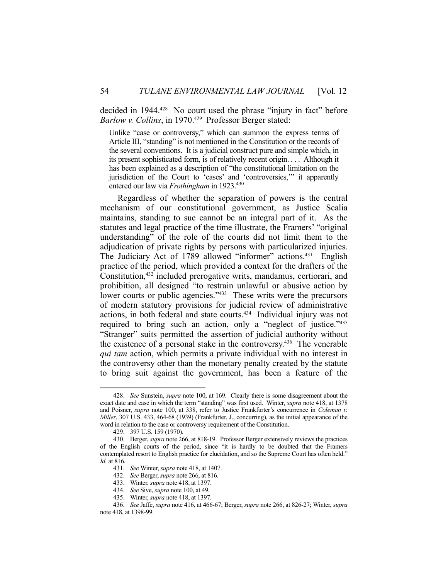decided in 1944.<sup>428</sup> No court used the phrase "injury in fact" before *Barlow v. Collins*, in 1970.429 Professor Berger stated:

Unlike "case or controversy," which can summon the express terms of Article III, "standing" is not mentioned in the Constitution or the records of the several conventions. It is a judicial construct pure and simple which, in its present sophisticated form, is of relatively recent origin. . . . Although it has been explained as a description of "the constitutional limitation on the jurisdiction of the Court to 'cases' and 'controversies," it apparently entered our law via *Frothingham* in 1923.430

 Regardless of whether the separation of powers is the central mechanism of our constitutional government, as Justice Scalia maintains, standing to sue cannot be an integral part of it. As the statutes and legal practice of the time illustrate, the Framers' "original understanding" of the role of the courts did not limit them to the adjudication of private rights by persons with particularized injuries. The Judiciary Act of 1789 allowed "informer" actions.<sup>431</sup> English practice of the period, which provided a context for the drafters of the Constitution,<sup>432</sup> included prerogative writs, mandamus, certiorari, and prohibition, all designed "to restrain unlawful or abusive action by lower courts or public agencies."<sup>433</sup> These writs were the precursors of modern statutory provisions for judicial review of administrative actions, in both federal and state courts.434 Individual injury was not required to bring such an action, only a "neglect of justice."<sup>435</sup> "Stranger" suits permitted the assertion of judicial authority without the existence of a personal stake in the controversy.436 The venerable *qui tam* action, which permits a private individual with no interest in the controversy other than the monetary penalty created by the statute to bring suit against the government, has been a feature of the

 <sup>428.</sup> *See* Sunstein, *supra* note 100, at 169. Clearly there is some disagreement about the exact date and case in which the term "standing" was first used. Winter, *supra* note 418, at 1378 and Poisner, *supra* note 100, at 338, refer to Justice Frankfurter's concurrence in *Coleman v. Miller*, 307 U.S. 433, 464-68 (1939) (Frankfurter, J., concurring), as the initial appearance of the word in relation to the case or controversy requirement of the Constitution.

 <sup>429. 397</sup> U.S. 159 (1970).

 <sup>430.</sup> Berger, *supra* note 266, at 818-19. Professor Berger extensively reviews the practices of the English courts of the period, since "it is hardly to be doubted that the Framers contemplated resort to English practice for elucidation, and so the Supreme Court has often held." *Id.* at 816.

 <sup>431.</sup> *See* Winter, *supra* note 418, at 1407.

 <sup>432.</sup> *See* Berger, *supra* note 266, at 816.

 <sup>433.</sup> Winter, *supra* note 418, at 1397.

 <sup>434.</sup> *See* Sive, *supra* note 100, at 49.

 <sup>435.</sup> Winter, *supra* note 418, at 1397.

 <sup>436.</sup> *See* Jaffe, *supra* note 416, at 466-67; Berger, *supra* note 266, at 826-27; Winter, *supra* note 418, at 1398-99.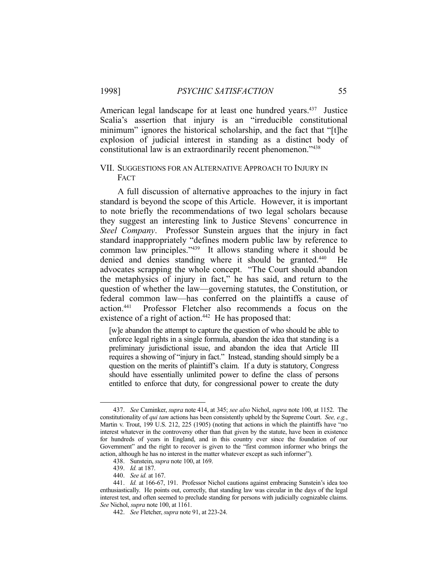American legal landscape for at least one hundred years.<sup>437</sup> Justice Scalia's assertion that injury is an "irreducible constitutional minimum" ignores the historical scholarship, and the fact that "[t]he explosion of judicial interest in standing as a distinct body of constitutional law is an extraordinarily recent phenomenon."438

#### VII. SUGGESTIONS FOR AN ALTERNATIVE APPROACH TO INJURY IN FACT

 A full discussion of alternative approaches to the injury in fact standard is beyond the scope of this Article. However, it is important to note briefly the recommendations of two legal scholars because they suggest an interesting link to Justice Stevens' concurrence in *Steel Company*. Professor Sunstein argues that the injury in fact standard inappropriately "defines modern public law by reference to common law principles."439 It allows standing where it should be denied and denies standing where it should be granted.440 He advocates scrapping the whole concept. "The Court should abandon the metaphysics of injury in fact," he has said, and return to the question of whether the law—governing statutes, the Constitution, or federal common law—has conferred on the plaintiffs a cause of action.441 Professor Fletcher also recommends a focus on the existence of a right of action.<sup>442</sup> He has proposed that:

[w]e abandon the attempt to capture the question of who should be able to enforce legal rights in a single formula, abandon the idea that standing is a preliminary jurisdictional issue, and abandon the idea that Article III requires a showing of "injury in fact." Instead, standing should simply be a question on the merits of plaintiff's claim. If a duty is statutory, Congress should have essentially unlimited power to define the class of persons entitled to enforce that duty, for congressional power to create the duty

 <sup>437.</sup> *See* Caminker, *supra* note 414, at 345; *see also* Nichol, *supra* note 100, at 1152. The constitutionality of *qui tam* actions has been consistently upheld by the Supreme Court. *See, e.g.*, Martin v. Trout, 199 U.S. 212, 225 (1905) (noting that actions in which the plaintiffs have "no interest whatever in the controversy other than that given by the statute, have been in existence for hundreds of years in England, and in this country ever since the foundation of our Government" and the right to recover is given to the "first common informer who brings the action, although he has no interest in the matter whatever except as such informer").

 <sup>438.</sup> Sunstein, *supra* note 100, at 169.

 <sup>439.</sup> *Id.* at 187.

 <sup>440.</sup> *See id.* at 167.

 <sup>441.</sup> *Id.* at 166-67, 191. Professor Nichol cautions against embracing Sunstein's idea too enthusiastically. He points out, correctly, that standing law was circular in the days of the legal interest test, and often seemed to preclude standing for persons with judicially cognizable claims. *See* Nichol, *supra* note 100, at 1161.

 <sup>442.</sup> *See* Fletcher, *supra* note 91, at 223-24.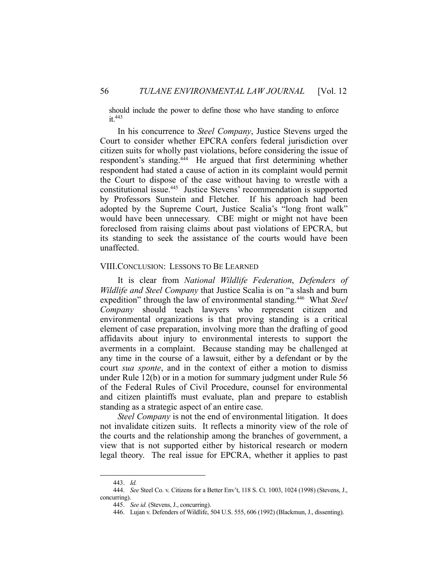should include the power to define those who have standing to enforce  $it.<sup>443</sup>$ 

 In his concurrence to *Steel Company*, Justice Stevens urged the Court to consider whether EPCRA confers federal jurisdiction over citizen suits for wholly past violations, before considering the issue of respondent's standing.444 He argued that first determining whether respondent had stated a cause of action in its complaint would permit the Court to dispose of the case without having to wrestle with a constitutional issue.445 Justice Stevens' recommendation is supported by Professors Sunstein and Fletcher. If his approach had been adopted by the Supreme Court, Justice Scalia's "long front walk" would have been unnecessary. CBE might or might not have been foreclosed from raising claims about past violations of EPCRA, but its standing to seek the assistance of the courts would have been unaffected.

#### VIII. CONCLUSION: LESSONS TO BE LEARNED

 It is clear from *National Wildlife Federation*, *Defenders of Wildlife and Steel Company* that Justice Scalia is on "a slash and burn expedition" through the law of environmental standing.446 What *Steel Company* should teach lawyers who represent citizen and environmental organizations is that proving standing is a critical element of case preparation, involving more than the drafting of good affidavits about injury to environmental interests to support the averments in a complaint. Because standing may be challenged at any time in the course of a lawsuit, either by a defendant or by the court *sua sponte*, and in the context of either a motion to dismiss under Rule 12(b) or in a motion for summary judgment under Rule 56 of the Federal Rules of Civil Procedure, counsel for environmental and citizen plaintiffs must evaluate, plan and prepare to establish standing as a strategic aspect of an entire case.

*Steel Company* is not the end of environmental litigation. It does not invalidate citizen suits. It reflects a minority view of the role of the courts and the relationship among the branches of government, a view that is not supported either by historical research or modern legal theory. The real issue for EPCRA, whether it applies to past

 <sup>443.</sup> *Id.*

 <sup>444.</sup> *See* Steel Co. v. Citizens for a Better Env't, 118 S. Ct. 1003, 1024 (1998) (Stevens, J., concurring).

 <sup>445.</sup> *See id.* (Stevens, J., concurring).

 <sup>446.</sup> Lujan v. Defenders of Wildlife, 504 U.S. 555, 606 (1992) (Blackmun, J., dissenting).